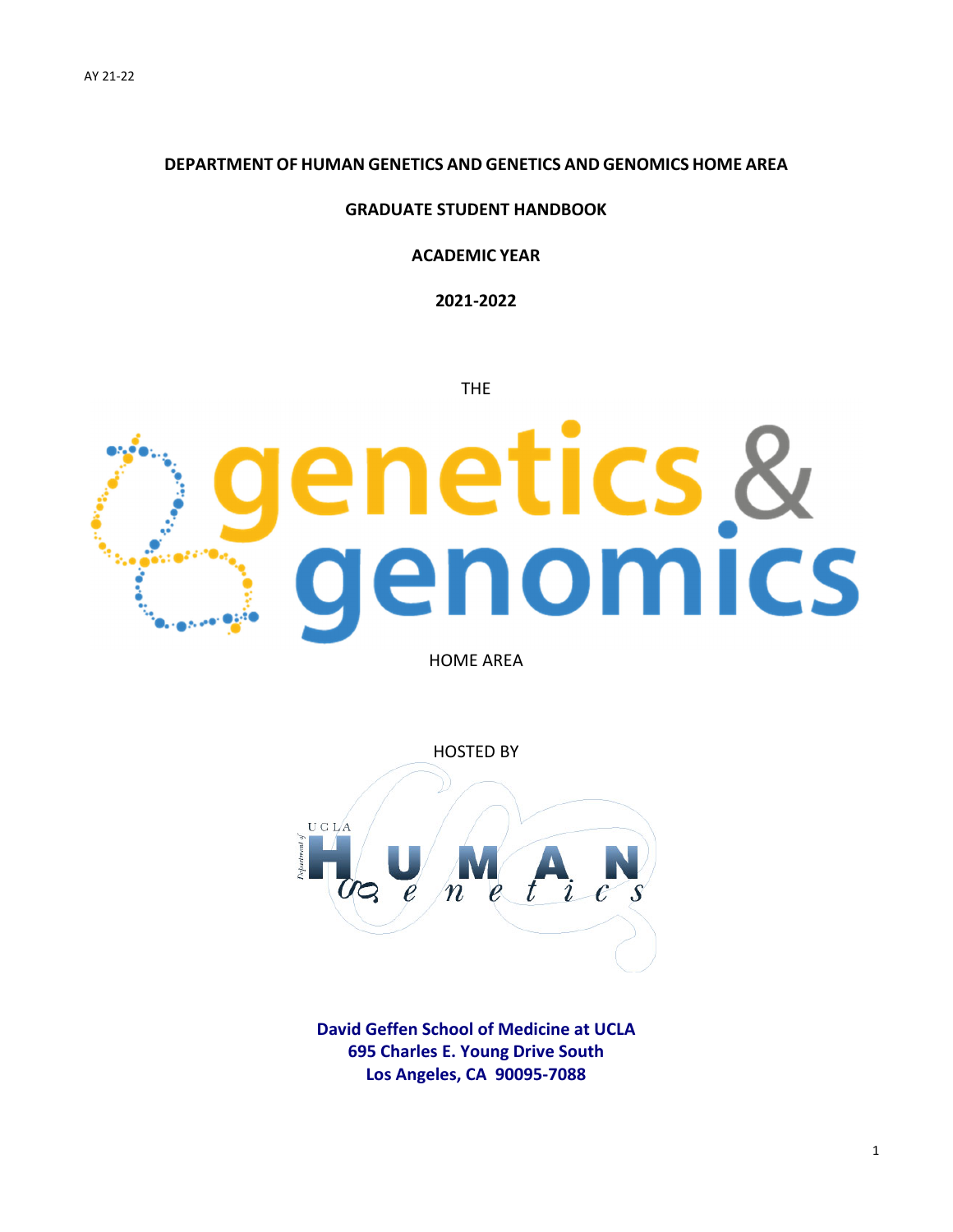### **DEPARTMENT OF HUMAN GENETICS AND GENETICS AND GENOMICS HOME AREA**

### **GRADUATE STUDENT HANDBOOK**

### **ACADEMIC YEAR**

**2021‐2022**

THE

# enetics &<br>genomics

HOME AREA



**David Geffen School of Medicine at UCLA 695 Charles E. Young Drive South Los Angeles, CA 90095‐7088**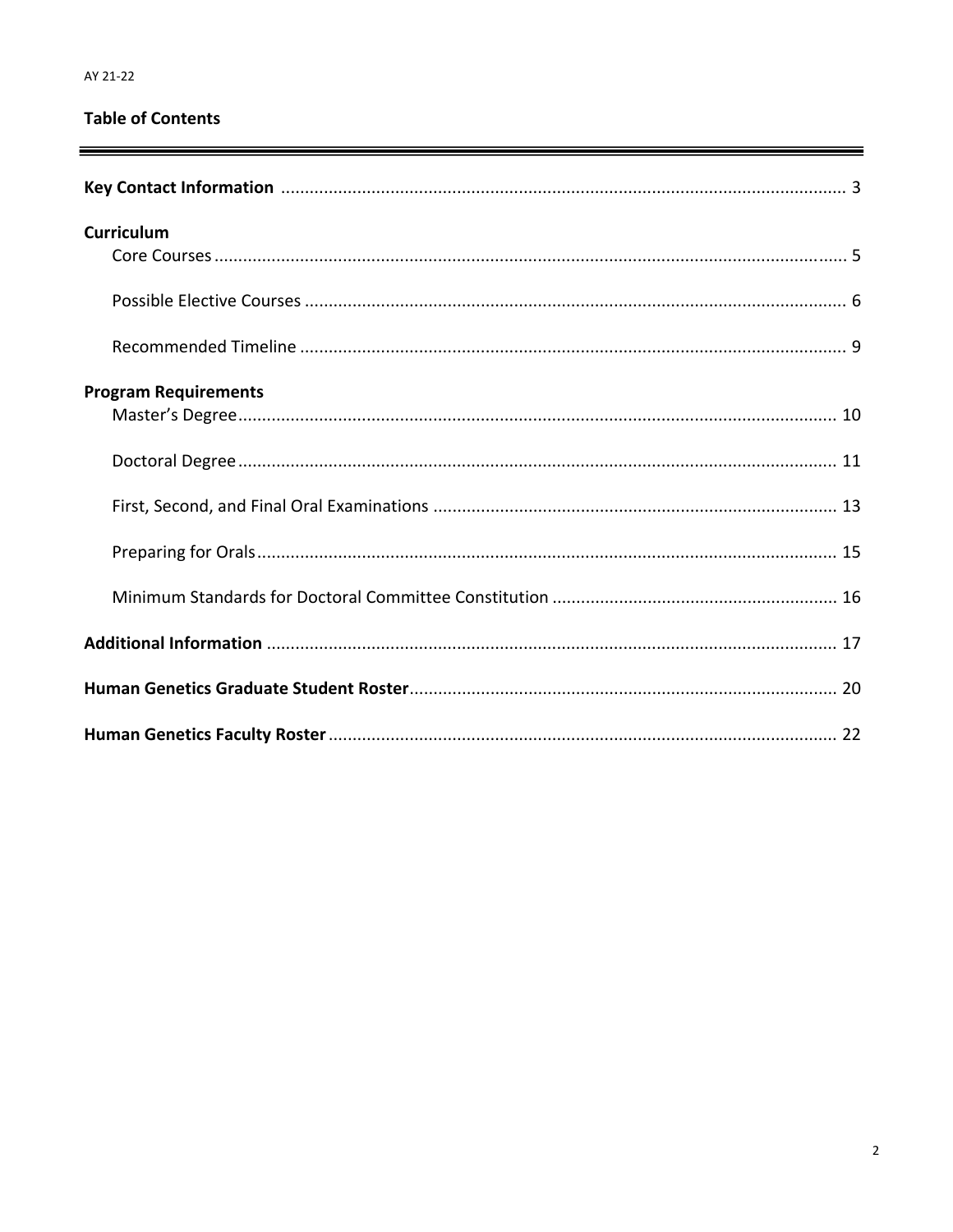# **Table of Contents**

| <b>Curriculum</b>           |  |
|-----------------------------|--|
|                             |  |
|                             |  |
| <b>Program Requirements</b> |  |
|                             |  |
|                             |  |
|                             |  |
|                             |  |
|                             |  |
|                             |  |
|                             |  |
|                             |  |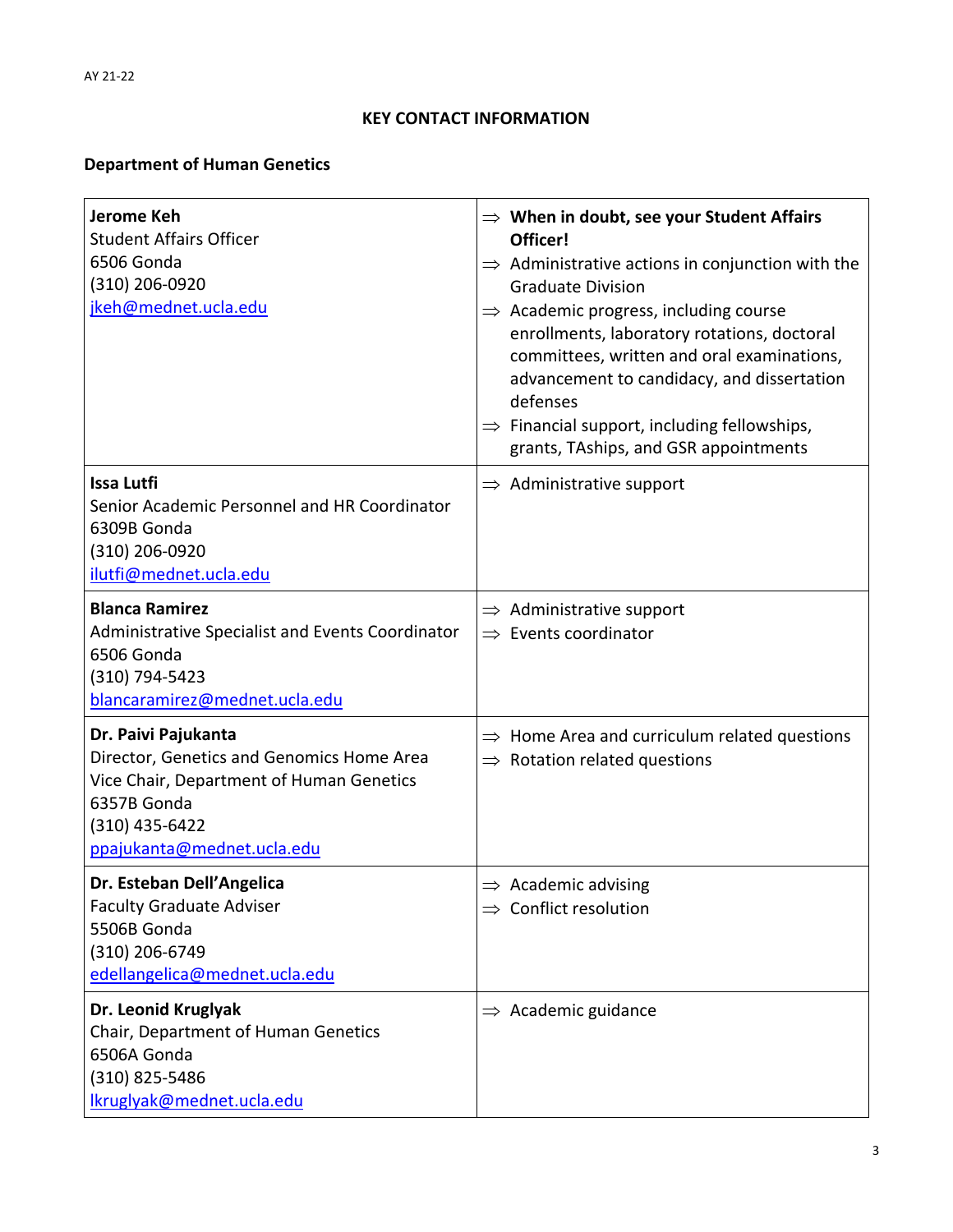# **KEY CONTACT INFORMATION**

# **Department of Human Genetics**

| <b>Jerome Keh</b><br><b>Student Affairs Officer</b><br>6506 Gonda<br>(310) 206-0920<br>jkeh@mednet.ucla.edu                                                                 | $\Rightarrow$ When in doubt, see your Student Affairs<br>Officer!<br>$\Rightarrow$ Administrative actions in conjunction with the<br><b>Graduate Division</b><br>$\Rightarrow$ Academic progress, including course<br>enrollments, laboratory rotations, doctoral<br>committees, written and oral examinations,<br>advancement to candidacy, and dissertation<br>defenses<br>$\Rightarrow$ Financial support, including fellowships,<br>grants, TAships, and GSR appointments |
|-----------------------------------------------------------------------------------------------------------------------------------------------------------------------------|-------------------------------------------------------------------------------------------------------------------------------------------------------------------------------------------------------------------------------------------------------------------------------------------------------------------------------------------------------------------------------------------------------------------------------------------------------------------------------|
| <b>Issa Lutfi</b><br>Senior Academic Personnel and HR Coordinator<br>6309B Gonda<br>(310) 206-0920<br>ilutfi@mednet.ucla.edu                                                | $\Rightarrow$ Administrative support                                                                                                                                                                                                                                                                                                                                                                                                                                          |
| <b>Blanca Ramirez</b><br>Administrative Specialist and Events Coordinator<br>6506 Gonda<br>(310) 794-5423<br>blancaramirez@mednet.ucla.edu                                  | $\Rightarrow$ Administrative support<br>$\Rightarrow$ Events coordinator                                                                                                                                                                                                                                                                                                                                                                                                      |
| Dr. Paivi Pajukanta<br>Director, Genetics and Genomics Home Area<br>Vice Chair, Department of Human Genetics<br>6357B Gonda<br>(310) 435-6422<br>ppajukanta@mednet.ucla.edu | $\Rightarrow$ Home Area and curriculum related questions<br>$\Rightarrow$ Rotation related questions                                                                                                                                                                                                                                                                                                                                                                          |
| Dr. Esteban Dell'Angelica<br><b>Faculty Graduate Adviser</b><br>5506B Gonda<br>(310) 206-6749<br>edellangelica@mednet.ucla.edu                                              | $\Rightarrow$ Academic advising<br>$\Rightarrow$ Conflict resolution                                                                                                                                                                                                                                                                                                                                                                                                          |
| Dr. Leonid Kruglyak<br>Chair, Department of Human Genetics<br>6506A Gonda<br>(310) 825-5486<br>Ikruglyak@mednet.ucla.edu                                                    | $\Rightarrow$ Academic guidance                                                                                                                                                                                                                                                                                                                                                                                                                                               |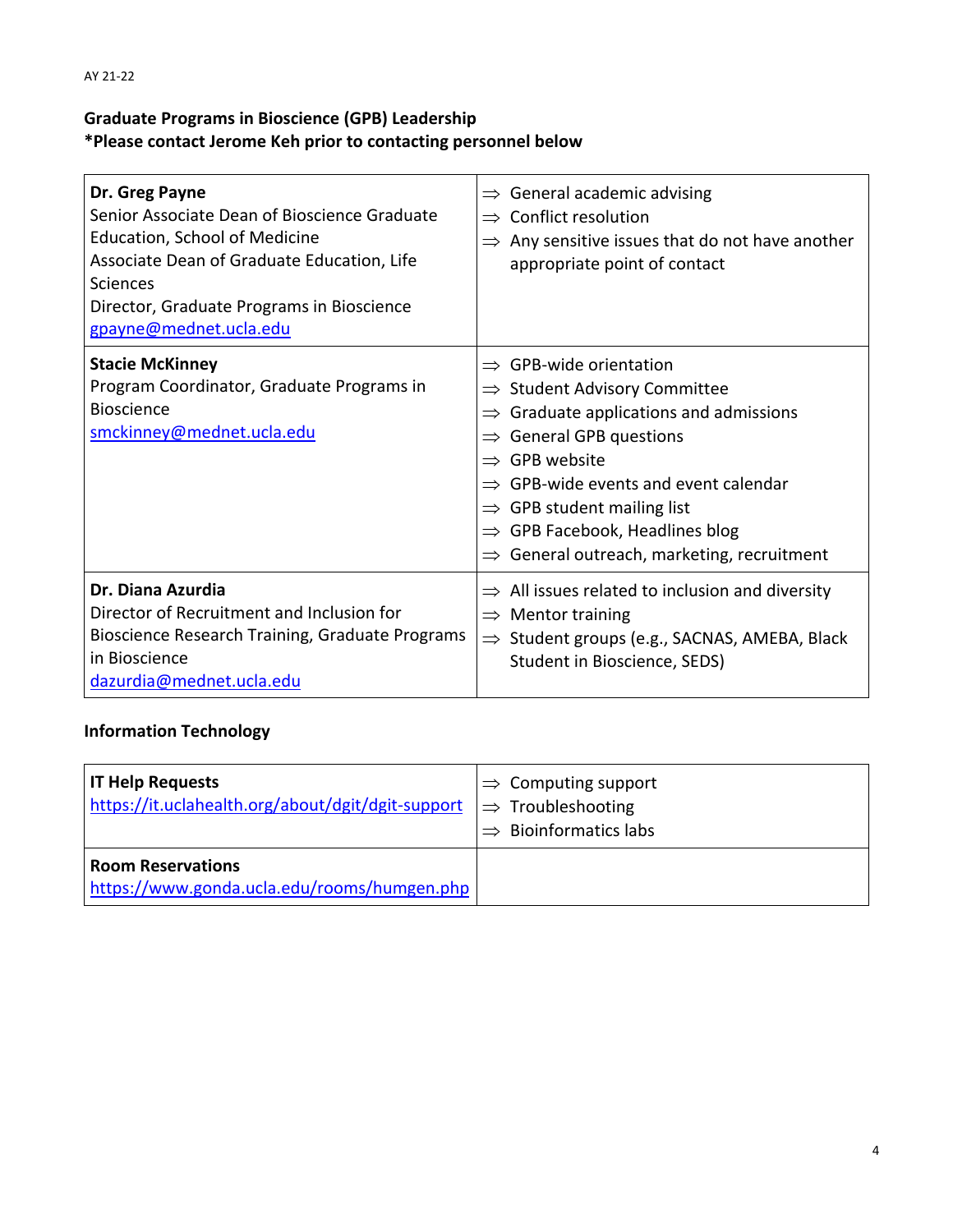# **Graduate Programs in Bioscience (GPB) Leadership \*Please contact Jerome Keh prior to contacting personnel below**

| Dr. Greg Payne<br>Senior Associate Dean of Bioscience Graduate<br>Education, School of Medicine<br>Associate Dean of Graduate Education, Life<br>Sciences<br>Director, Graduate Programs in Bioscience<br>gpayne@mednet.ucla.edu | General academic advising<br>$\Rightarrow$<br>Conflict resolution<br>$\Rightarrow$<br>Any sensitive issues that do not have another<br>appropriate point of contact                                                                                                                                                                                                                                       |
|----------------------------------------------------------------------------------------------------------------------------------------------------------------------------------------------------------------------------------|-----------------------------------------------------------------------------------------------------------------------------------------------------------------------------------------------------------------------------------------------------------------------------------------------------------------------------------------------------------------------------------------------------------|
| <b>Stacie McKinney</b><br>Program Coordinator, Graduate Programs in<br><b>Bioscience</b><br>smckinney@mednet.ucla.edu                                                                                                            | $\Rightarrow$ GPB-wide orientation<br>$\Rightarrow$ Student Advisory Committee<br>Graduate applications and admissions<br>$\Rightarrow$<br><b>General GPB questions</b><br><b>GPB</b> website<br>$\rightarrow$<br>GPB-wide events and event calendar<br>$\Rightarrow$ GPB student mailing list<br>$\Rightarrow$ GPB Facebook, Headlines blog<br>General outreach, marketing, recruitment<br>$\Rightarrow$ |
| Dr. Diana Azurdia<br>Director of Recruitment and Inclusion for<br>Bioscience Research Training, Graduate Programs<br>in Bioscience<br>dazurdia@mednet.ucla.edu                                                                   | $\Rightarrow$ All issues related to inclusion and diversity<br>$\Rightarrow$ Mentor training<br>Student groups (e.g., SACNAS, AMEBA, Black<br>$\Rightarrow$<br>Student in Bioscience, SEDS)                                                                                                                                                                                                               |

# **Information Technology**

| <b>IT Help Requests</b><br>https://it.uclahealth.org/about/dgit/dgit-support | $\Rightarrow$ Computing support<br>$\Rightarrow$ Troubleshooting<br><b>Bioinformatics labs</b> |
|------------------------------------------------------------------------------|------------------------------------------------------------------------------------------------|
| <b>Room Reservations</b><br>https://www.gonda.ucla.edu/rooms/humgen.php      |                                                                                                |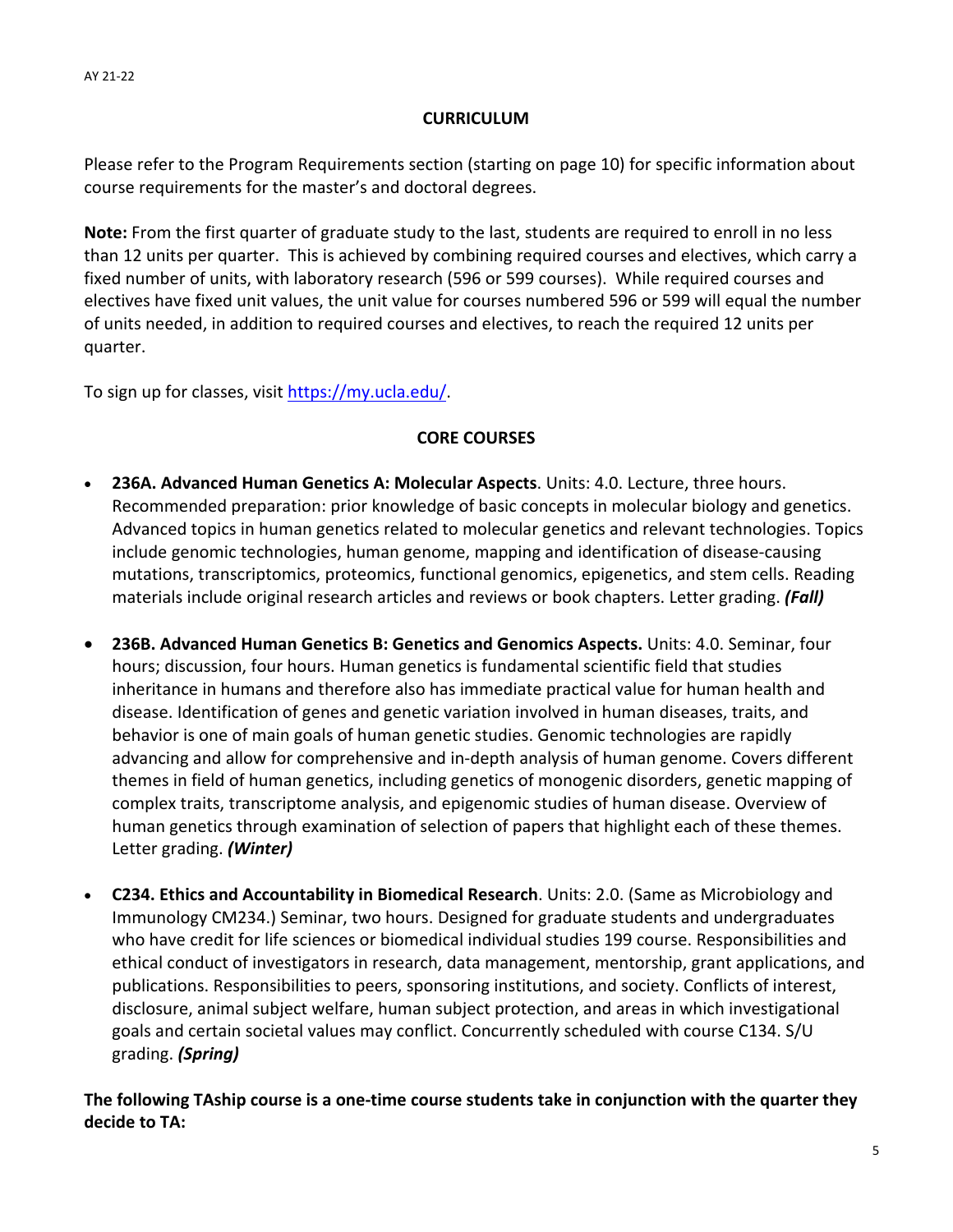### **CURRICULUM**

Please refer to the Program Requirements section (starting on page 10) for specific information about course requirements for the master's and doctoral degrees.

**Note:** From the first quarter of graduate study to the last, students are required to enroll in no less than 12 units per quarter. This is achieved by combining required courses and electives, which carry a fixed number of units, with laboratory research (596 or 599 courses). While required courses and electives have fixed unit values, the unit value for courses numbered 596 or 599 will equal the number of units needed, in addition to required courses and electives, to reach the required 12 units per quarter.

To sign up for classes, visit https://my.ucla.edu/.

### **CORE COURSES**

- **236A. Advanced Human Genetics A: Molecular Aspects**. Units: 4.0. Lecture, three hours. Recommended preparation: prior knowledge of basic concepts in molecular biology and genetics. Advanced topics in human genetics related to molecular genetics and relevant technologies. Topics include genomic technologies, human genome, mapping and identification of disease-causing mutations, transcriptomics, proteomics, functional genomics, epigenetics, and stem cells. Reading materials include original research articles and reviews or book chapters. Letter grading. *(Fall)*
- **236B. Advanced Human Genetics B: Genetics and Genomics Aspects.** Units: 4.0. Seminar, four hours; discussion, four hours. Human genetics is fundamental scientific field that studies inheritance in humans and therefore also has immediate practical value for human health and disease. Identification of genes and genetic variation involved in human diseases, traits, and behavior is one of main goals of human genetic studies. Genomic technologies are rapidly advancing and allow for comprehensive and in‐depth analysis of human genome. Covers different themes in field of human genetics, including genetics of monogenic disorders, genetic mapping of complex traits, transcriptome analysis, and epigenomic studies of human disease. Overview of human genetics through examination of selection of papers that highlight each of these themes. Letter grading. *(Winter)*
- **C234. Ethics and Accountability in Biomedical Research**. Units: 2.0. (Same as Microbiology and Immunology CM234.) Seminar, two hours. Designed for graduate students and undergraduates who have credit for life sciences or biomedical individual studies 199 course. Responsibilities and ethical conduct of investigators in research, data management, mentorship, grant applications, and publications. Responsibilities to peers, sponsoring institutions, and society. Conflicts of interest, disclosure, animal subject welfare, human subject protection, and areas in which investigational goals and certain societal values may conflict. Concurrently scheduled with course C134. S/U grading. *(Spring)*

The following TAship course is a one-time course students take in conjunction with the quarter they **decide to TA:**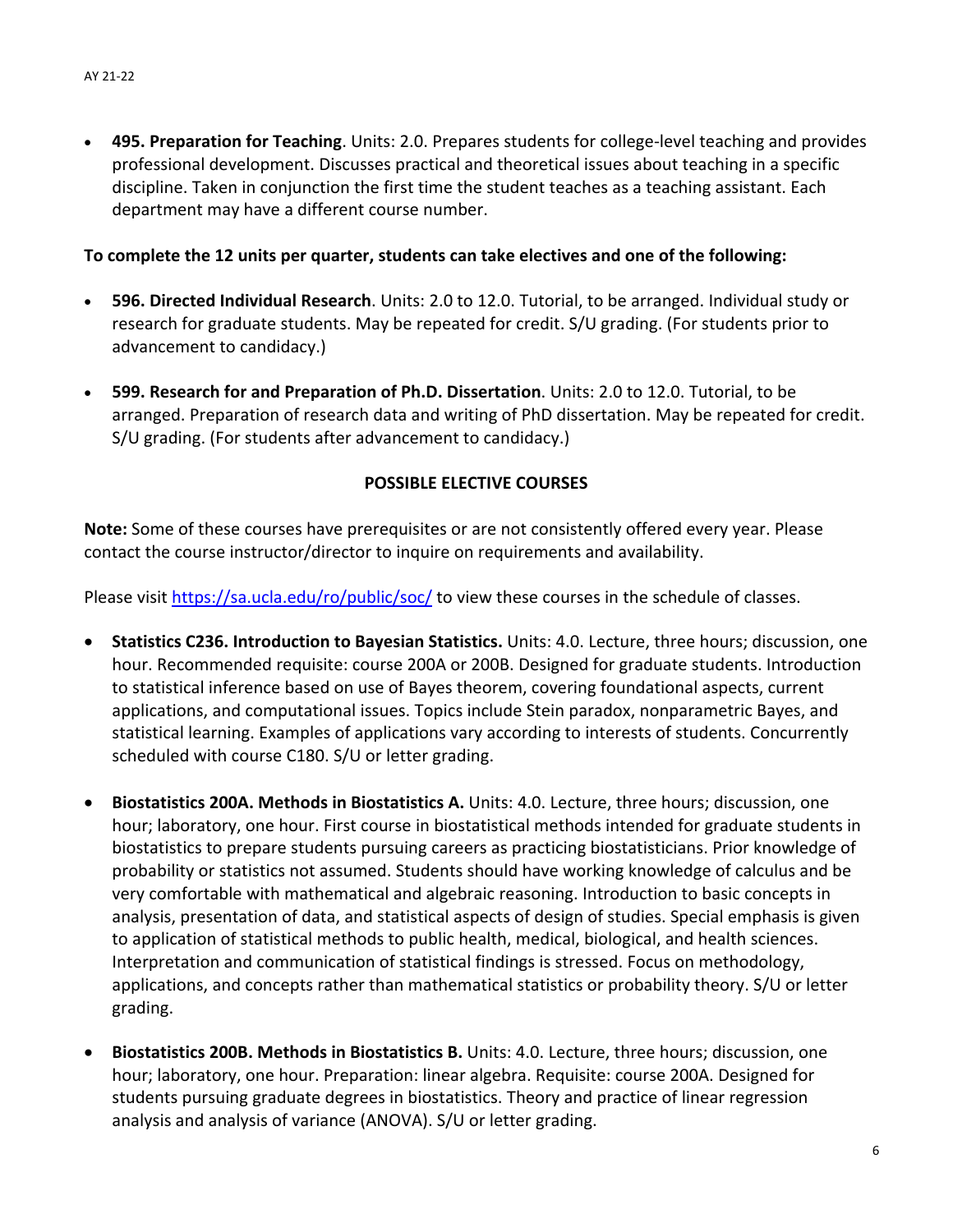**495. Preparation for Teaching**. Units: 2.0. Prepares students for college‐level teaching and provides professional development. Discusses practical and theoretical issues about teaching in a specific discipline. Taken in conjunction the first time the student teaches as a teaching assistant. Each department may have a different course number.

### **To complete the 12 units per quarter, students can take electives and one of the following:**

- **596. Directed Individual Research**. Units: 2.0 to 12.0. Tutorial, to be arranged. Individual study or research for graduate students. May be repeated for credit. S/U grading. (For students prior to advancement to candidacy.)
- **599. Research for and Preparation of Ph.D. Dissertation**. Units: 2.0 to 12.0. Tutorial, to be arranged. Preparation of research data and writing of PhD dissertation. May be repeated for credit. S/U grading. (For students after advancement to candidacy.)

### **POSSIBLE ELECTIVE COURSES**

**Note:** Some of these courses have prerequisites or are not consistently offered every year. Please contact the course instructor/director to inquire on requirements and availability.

Please visit https://sa.ucla.edu/ro/public/soc/ to view these courses in the schedule of classes.

- **Statistics C236. Introduction to Bayesian Statistics.** Units: 4.0. Lecture, three hours; discussion, one hour. Recommended requisite: course 200A or 200B. Designed for graduate students. Introduction to statistical inference based on use of Bayes theorem, covering foundational aspects, current applications, and computational issues. Topics include Stein paradox, nonparametric Bayes, and statistical learning. Examples of applications vary according to interests of students. Concurrently scheduled with course C180. S/U or letter grading.
- **Biostatistics 200A. Methods in Biostatistics A.** Units: 4.0. Lecture, three hours; discussion, one hour; laboratory, one hour. First course in biostatistical methods intended for graduate students in biostatistics to prepare students pursuing careers as practicing biostatisticians. Prior knowledge of probability or statistics not assumed. Students should have working knowledge of calculus and be very comfortable with mathematical and algebraic reasoning. Introduction to basic concepts in analysis, presentation of data, and statistical aspects of design of studies. Special emphasis is given to application of statistical methods to public health, medical, biological, and health sciences. Interpretation and communication of statistical findings is stressed. Focus on methodology, applications, and concepts rather than mathematical statistics or probability theory. S/U or letter grading.
- **Biostatistics 200B. Methods in Biostatistics B.** Units: 4.0. Lecture, three hours; discussion, one hour; laboratory, one hour. Preparation: linear algebra. Requisite: course 200A. Designed for students pursuing graduate degrees in biostatistics. Theory and practice of linear regression analysis and analysis of variance (ANOVA). S/U or letter grading.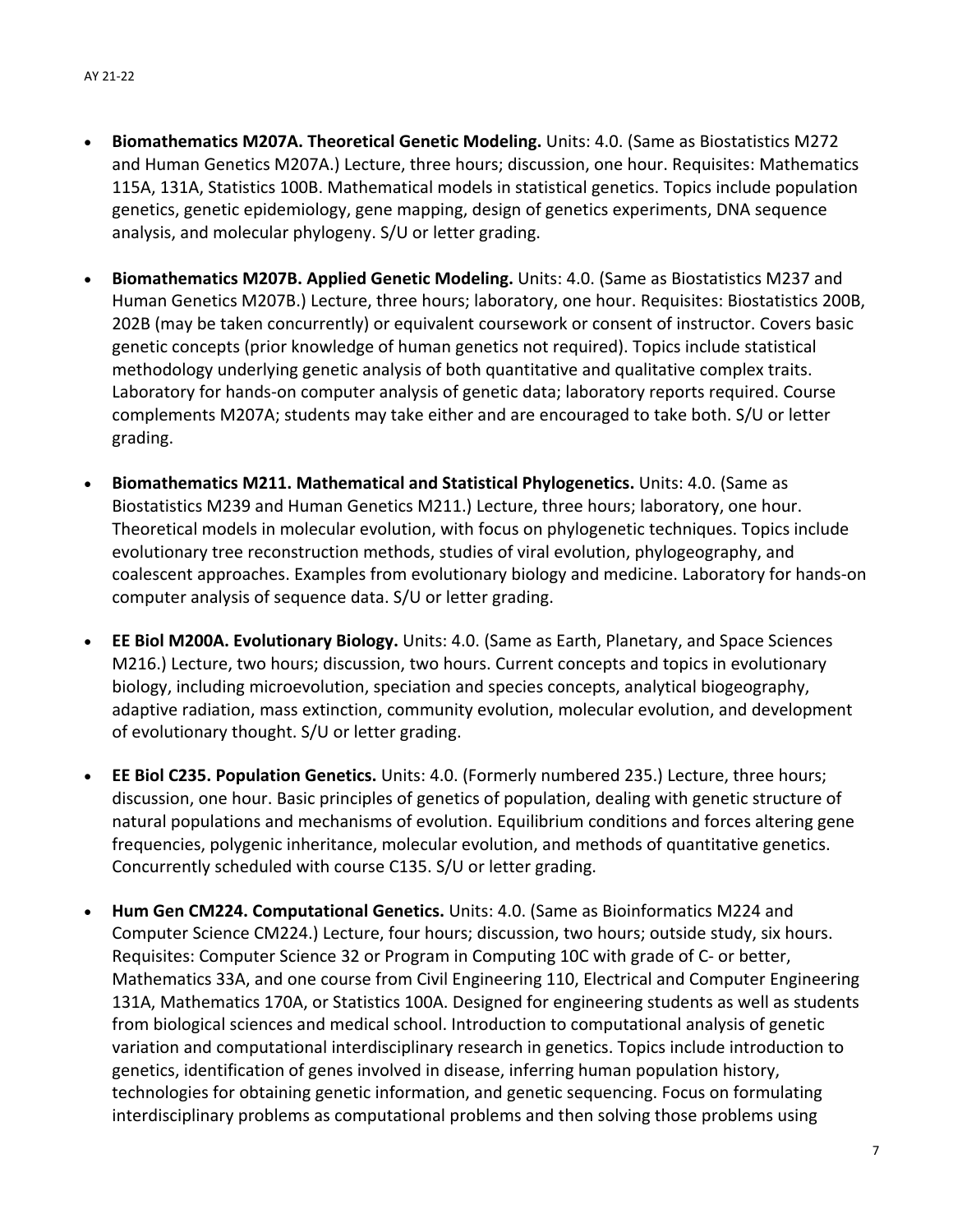- **Biomathematics M207A. Theoretical Genetic Modeling.** Units: 4.0. (Same as Biostatistics M272 and Human Genetics M207A.) Lecture, three hours; discussion, one hour. Requisites: Mathematics 115A, 131A, Statistics 100B. Mathematical models in statistical genetics. Topics include population genetics, genetic epidemiology, gene mapping, design of genetics experiments, DNA sequence analysis, and molecular phylogeny. S/U or letter grading.
- **Biomathematics M207B. Applied Genetic Modeling.** Units: 4.0. (Same as Biostatistics M237 and Human Genetics M207B.) Lecture, three hours; laboratory, one hour. Requisites: Biostatistics 200B, 202B (may be taken concurrently) or equivalent coursework or consent of instructor. Covers basic genetic concepts (prior knowledge of human genetics not required). Topics include statistical methodology underlying genetic analysis of both quantitative and qualitative complex traits. Laboratory for hands-on computer analysis of genetic data; laboratory reports required. Course complements M207A; students may take either and are encouraged to take both. S/U or letter grading.
- **Biomathematics M211. Mathematical and Statistical Phylogenetics.** Units: 4.0. (Same as Biostatistics M239 and Human Genetics M211.) Lecture, three hours; laboratory, one hour. Theoretical models in molecular evolution, with focus on phylogenetic techniques. Topics include evolutionary tree reconstruction methods, studies of viral evolution, phylogeography, and coalescent approaches. Examples from evolutionary biology and medicine. Laboratory for hands‐on computer analysis of sequence data. S/U or letter grading.
- **EE Biol M200A. Evolutionary Biology.** Units: 4.0. (Same as Earth, Planetary, and Space Sciences M216.) Lecture, two hours; discussion, two hours. Current concepts and topics in evolutionary biology, including microevolution, speciation and species concepts, analytical biogeography, adaptive radiation, mass extinction, community evolution, molecular evolution, and development of evolutionary thought. S/U or letter grading.
- **EE Biol C235. Population Genetics.** Units: 4.0. (Formerly numbered 235.) Lecture, three hours; discussion, one hour. Basic principles of genetics of population, dealing with genetic structure of natural populations and mechanisms of evolution. Equilibrium conditions and forces altering gene frequencies, polygenic inheritance, molecular evolution, and methods of quantitative genetics. Concurrently scheduled with course C135. S/U or letter grading.
- **Hum Gen CM224. Computational Genetics.** Units: 4.0. (Same as Bioinformatics M224 and Computer Science CM224.) Lecture, four hours; discussion, two hours; outside study, six hours. Requisites: Computer Science 32 or Program in Computing 10C with grade of C‐ or better, Mathematics 33A, and one course from Civil Engineering 110, Electrical and Computer Engineering 131A, Mathematics 170A, or Statistics 100A. Designed for engineering students as well as students from biological sciences and medical school. Introduction to computational analysis of genetic variation and computational interdisciplinary research in genetics. Topics include introduction to genetics, identification of genes involved in disease, inferring human population history, technologies for obtaining genetic information, and genetic sequencing. Focus on formulating interdisciplinary problems as computational problems and then solving those problems using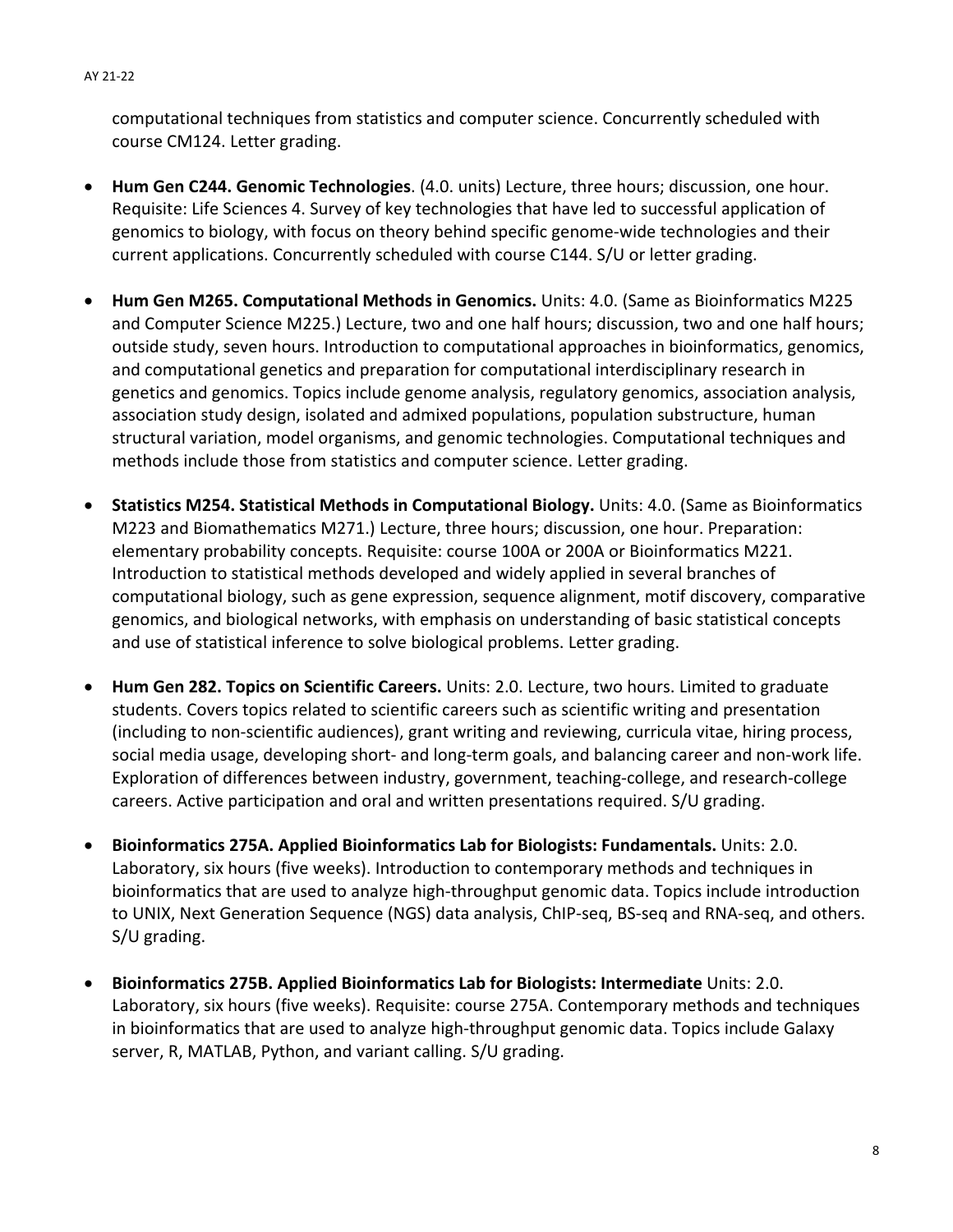computational techniques from statistics and computer science. Concurrently scheduled with course CM124. Letter grading.

- **Hum Gen C244. Genomic Technologies**. (4.0. units) Lecture, three hours; discussion, one hour. Requisite: Life Sciences 4. Survey of key technologies that have led to successful application of genomics to biology, with focus on theory behind specific genome‐wide technologies and their current applications. Concurrently scheduled with course C144. S/U or letter grading.
- **Hum Gen M265. Computational Methods in Genomics.** Units: 4.0. (Same as Bioinformatics M225 and Computer Science M225.) Lecture, two and one half hours; discussion, two and one half hours; outside study, seven hours. Introduction to computational approaches in bioinformatics, genomics, and computational genetics and preparation for computational interdisciplinary research in genetics and genomics. Topics include genome analysis, regulatory genomics, association analysis, association study design, isolated and admixed populations, population substructure, human structural variation, model organisms, and genomic technologies. Computational techniques and methods include those from statistics and computer science. Letter grading.
- **Statistics M254. Statistical Methods in Computational Biology.** Units: 4.0. (Same as Bioinformatics M223 and Biomathematics M271.) Lecture, three hours; discussion, one hour. Preparation: elementary probability concepts. Requisite: course 100A or 200A or Bioinformatics M221. Introduction to statistical methods developed and widely applied in several branches of computational biology, such as gene expression, sequence alignment, motif discovery, comparative genomics, and biological networks, with emphasis on understanding of basic statistical concepts and use of statistical inference to solve biological problems. Letter grading.
- **Hum Gen 282. Topics on Scientific Careers.** Units: 2.0. Lecture, two hours. Limited to graduate students. Covers topics related to scientific careers such as scientific writing and presentation (including to non‐scientific audiences), grant writing and reviewing, curricula vitae, hiring process, social media usage, developing short‐ and long‐term goals, and balancing career and non‐work life. Exploration of differences between industry, government, teaching-college, and research-college careers. Active participation and oral and written presentations required. S/U grading.
- **Bioinformatics 275A. Applied Bioinformatics Lab for Biologists: Fundamentals.** Units: 2.0. Laboratory, six hours (five weeks). Introduction to contemporary methods and techniques in bioinformatics that are used to analyze high‐throughput genomic data. Topics include introduction to UNIX, Next Generation Sequence (NGS) data analysis, ChIP‐seq, BS‐seq and RNA‐seq, and others. S/U grading.
- **Bioinformatics 275B. Applied Bioinformatics Lab for Biologists: Intermediate** Units: 2.0. Laboratory, six hours (five weeks). Requisite: course 275A. Contemporary methods and techniques in bioinformatics that are used to analyze high‐throughput genomic data. Topics include Galaxy server, R, MATLAB, Python, and variant calling. S/U grading.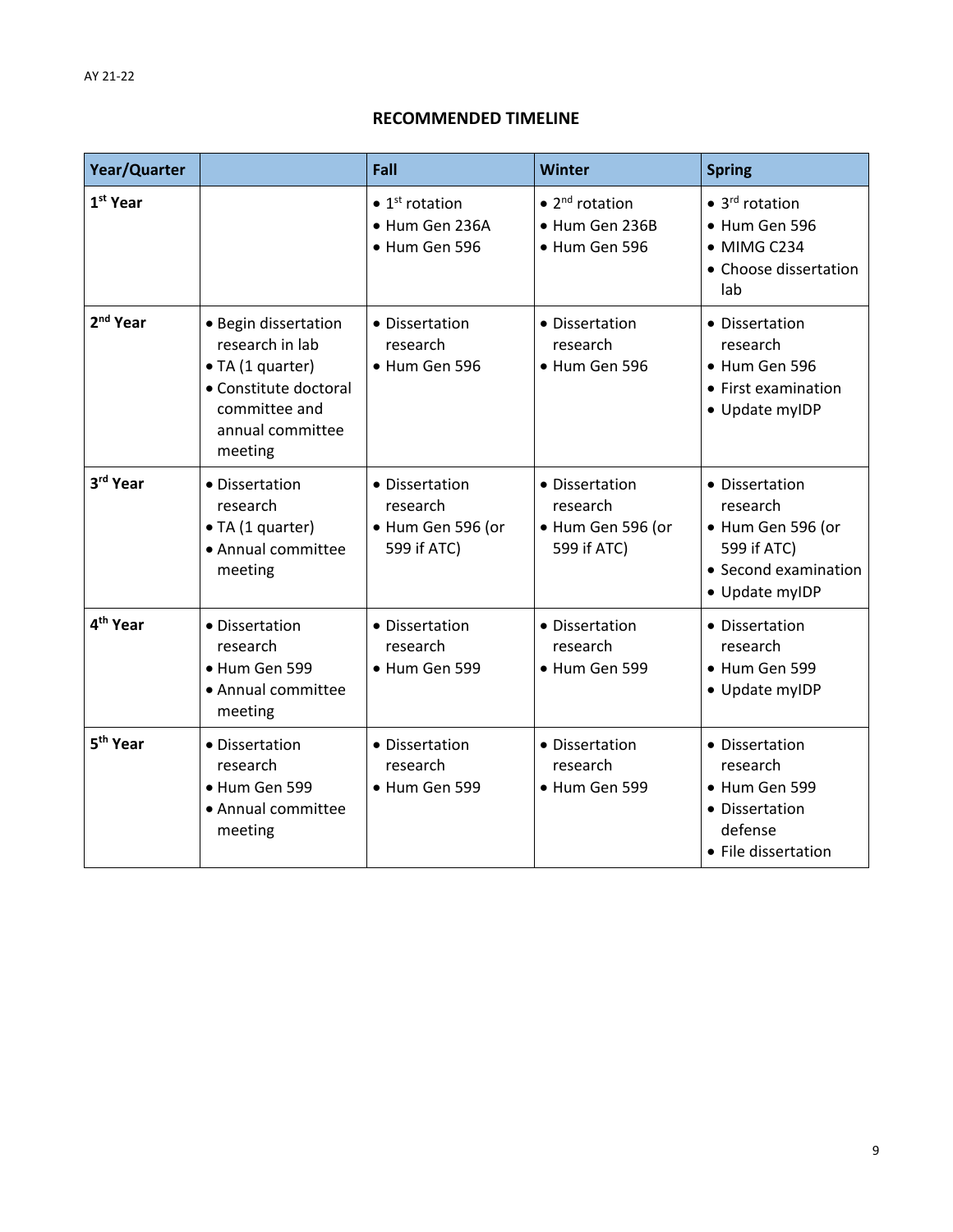### **RECOMMENDED TIMELINE**

| Year/Quarter         |                                                                                                                                      | Fall                                                                  | Winter                                                                | <b>Spring</b>                                                                                            |
|----------------------|--------------------------------------------------------------------------------------------------------------------------------------|-----------------------------------------------------------------------|-----------------------------------------------------------------------|----------------------------------------------------------------------------------------------------------|
| 1 <sup>st</sup> Year |                                                                                                                                      | $\bullet$ 1 <sup>st</sup> rotation<br>· Hum Gen 236A<br>• Hum Gen 596 | $\bullet$ 2 <sup>nd</sup> rotation<br>• Hum Gen 236B<br>• Hum Gen 596 | $\bullet$ 3 <sup>rd</sup> rotation<br>• Hum Gen 596<br>• MIMG C234<br>• Choose dissertation<br>lab       |
| 2 <sup>nd</sup> Year | • Begin dissertation<br>research in lab<br>• TA (1 quarter)<br>• Constitute doctoral<br>committee and<br>annual committee<br>meeting | • Dissertation<br>research<br>· Hum Gen 596                           | • Dissertation<br>research<br>• Hum Gen 596                           | • Dissertation<br>research<br>• Hum Gen 596<br>• First examination<br>• Update myIDP                     |
| 3rd Year             | • Dissertation<br>research<br>• TA (1 quarter)<br>• Annual committee<br>meeting                                                      | • Dissertation<br>research<br>· Hum Gen 596 (or<br>599 if ATC)        | • Dissertation<br>research<br>· Hum Gen 596 (or<br>599 if ATC)        | • Dissertation<br>research<br>· Hum Gen 596 (or<br>599 if ATC)<br>• Second examination<br>• Update myIDP |
| 4 <sup>th</sup> Year | • Dissertation<br>research<br>· Hum Gen 599<br>• Annual committee<br>meeting                                                         | • Dissertation<br>research<br>· Hum Gen 599                           | • Dissertation<br>research<br>• Hum Gen 599                           | • Dissertation<br>research<br>• Hum Gen 599<br>• Update myIDP                                            |
| 5 <sup>th</sup> Year | • Dissertation<br>research<br>· Hum Gen 599<br>• Annual committee<br>meeting                                                         | • Dissertation<br>research<br>· Hum Gen 599                           | • Dissertation<br>research<br>• Hum Gen 599                           | • Dissertation<br>research<br>• Hum Gen 599<br>• Dissertation<br>defense<br>• File dissertation          |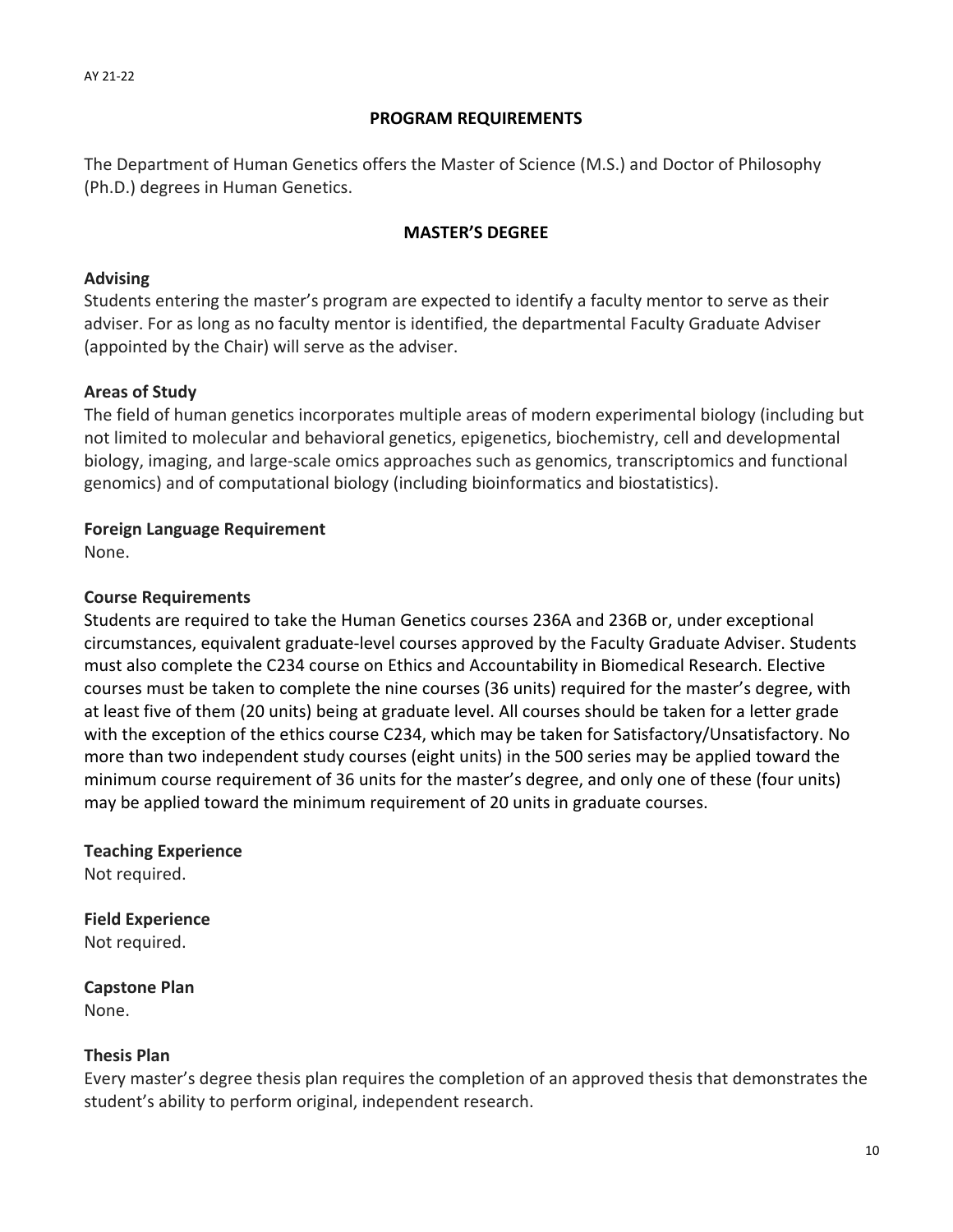### **PROGRAM REQUIREMENTS**

The Department of Human Genetics offers the Master of Science (M.S.) and Doctor of Philosophy (Ph.D.) degrees in Human Genetics.

### **MASTER'S DEGREE**

### **Advising**

Students entering the master's program are expected to identify a faculty mentor to serve as their adviser. For as long as no faculty mentor is identified, the departmental Faculty Graduate Adviser (appointed by the Chair) will serve as the adviser.

# **Areas of Study**

The field of human genetics incorporates multiple areas of modern experimental biology (including but not limited to molecular and behavioral genetics, epigenetics, biochemistry, cell and developmental biology, imaging, and large‐scale omics approaches such as genomics, transcriptomics and functional genomics) and of computational biology (including bioinformatics and biostatistics).

### **Foreign Language Requirement**

None.

### **Course Requirements**

Students are required to take the Human Genetics courses 236A and 236B or, under exceptional circumstances, equivalent graduate‐level courses approved by the Faculty Graduate Adviser. Students must also complete the C234 course on Ethics and Accountability in Biomedical Research. Elective courses must be taken to complete the nine courses (36 units) required for the master's degree, with at least five of them (20 units) being at graduate level. All courses should be taken for a letter grade with the exception of the ethics course C234, which may be taken for Satisfactory/Unsatisfactory. No more than two independent study courses (eight units) in the 500 series may be applied toward the minimum course requirement of 36 units for the master's degree, and only one of these (four units) may be applied toward the minimum requirement of 20 units in graduate courses.

# **Teaching Experience**

Not required.

**Field Experience** Not required.

**Capstone Plan** None.

### **Thesis Plan**

Every master's degree thesis plan requires the completion of an approved thesis that demonstrates the student's ability to perform original, independent research.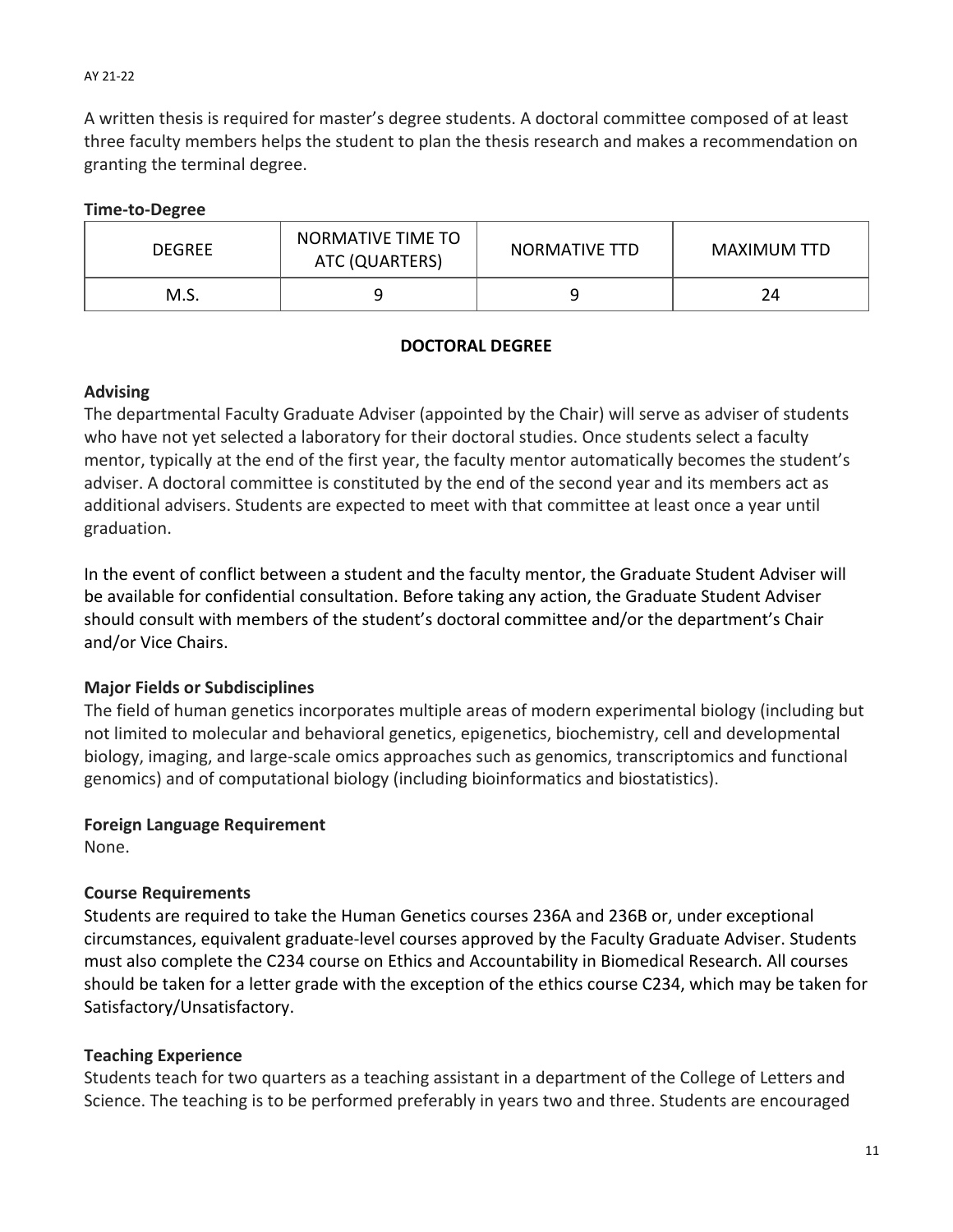A written thesis is required for master's degree students. A doctoral committee composed of at least three faculty members helps the student to plan the thesis research and makes a recommendation on granting the terminal degree.

## **Time‐to‐Degree**

| <b>DEGREE</b> | NORMATIVE TIME TO<br>ATC (QUARTERS) | NORMATIVE TTD | <b>MAXIMUM TTD</b> |  |
|---------------|-------------------------------------|---------------|--------------------|--|
| M.S.          |                                     |               | 24                 |  |

# **DOCTORAL DEGREE**

### **Advising**

The departmental Faculty Graduate Adviser (appointed by the Chair) will serve as adviser of students who have not yet selected a laboratory for their doctoral studies. Once students select a faculty mentor, typically at the end of the first year, the faculty mentor automatically becomes the student's adviser. A doctoral committee is constituted by the end of the second year and its members act as additional advisers. Students are expected to meet with that committee at least once a year until graduation.

In the event of conflict between a student and the faculty mentor, the Graduate Student Adviser will be available for confidential consultation. Before taking any action, the Graduate Student Adviser should consult with members of the student's doctoral committee and/or the department's Chair and/or Vice Chairs.

# **Major Fields or Subdisciplines**

The field of human genetics incorporates multiple areas of modern experimental biology (including but not limited to molecular and behavioral genetics, epigenetics, biochemistry, cell and developmental biology, imaging, and large‐scale omics approaches such as genomics, transcriptomics and functional genomics) and of computational biology (including bioinformatics and biostatistics).

# **Foreign Language Requirement**

None.

# **Course Requirements**

Students are required to take the Human Genetics courses 236A and 236B or, under exceptional circumstances, equivalent graduate‐level courses approved by the Faculty Graduate Adviser. Students must also complete the C234 course on Ethics and Accountability in Biomedical Research. All courses should be taken for a letter grade with the exception of the ethics course C234, which may be taken for Satisfactory/Unsatisfactory.

# **Teaching Experience**

Students teach for two quarters as a teaching assistant in a department of the College of Letters and Science. The teaching is to be performed preferably in years two and three. Students are encouraged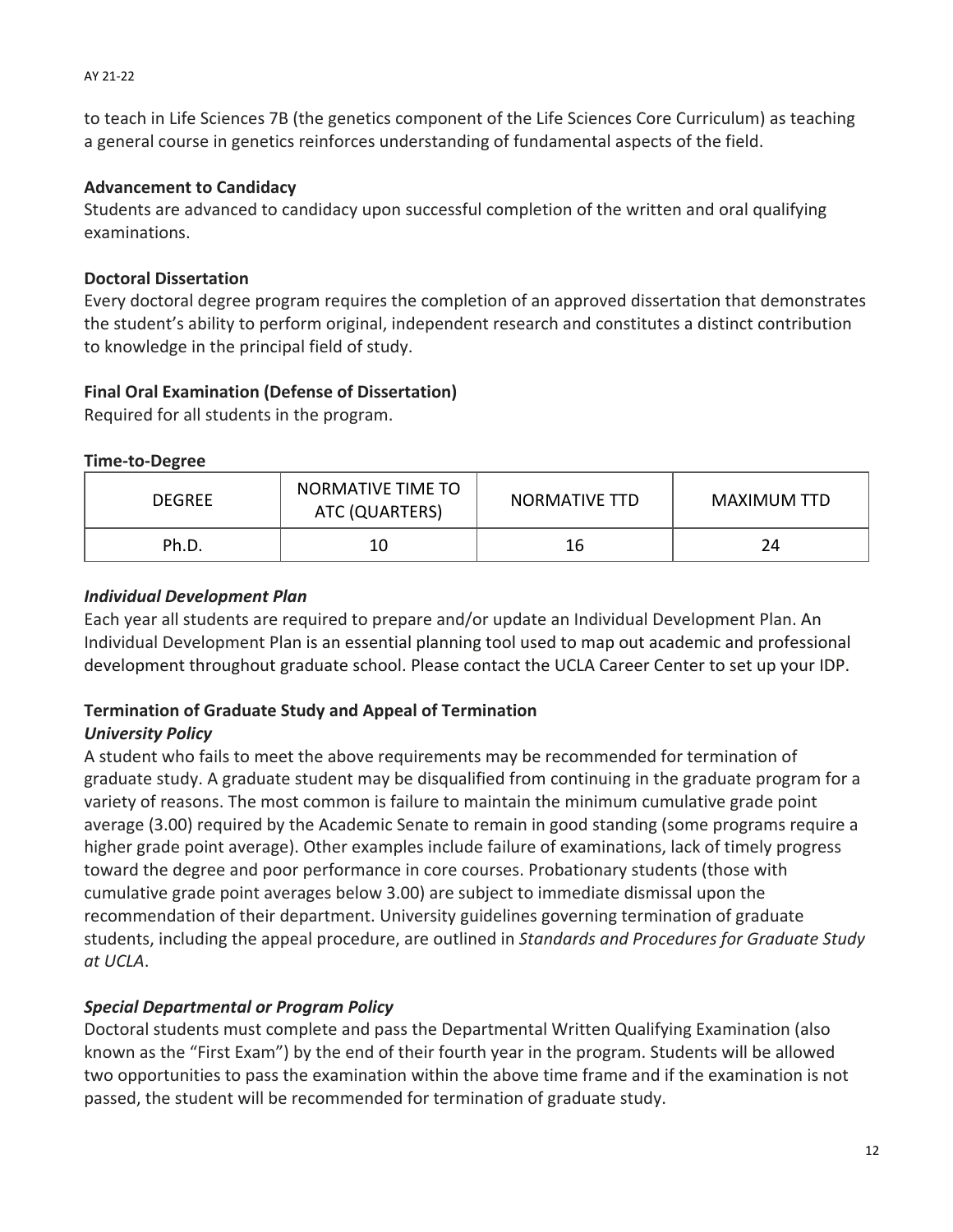to teach in Life Sciences 7B (the genetics component of the Life Sciences Core Curriculum) as teaching a general course in genetics reinforces understanding of fundamental aspects of the field.

# **Advancement to Candidacy**

Students are advanced to candidacy upon successful completion of the written and oral qualifying examinations.

# **Doctoral Dissertation**

Every doctoral degree program requires the completion of an approved dissertation that demonstrates the student's ability to perform original, independent research and constitutes a distinct contribution to knowledge in the principal field of study.

# **Final Oral Examination (Defense of Dissertation)**

Required for all students in the program.

# **Time‐to‐Degree**

| <b>DEGREE</b> | NORMATIVE TIME TO<br>ATC (QUARTERS) | NORMATIVE TTD | MAXIMUM TTD |  |
|---------------|-------------------------------------|---------------|-------------|--|
| Ph.D.         | 10                                  | 16            | 24          |  |

# *Individual Development Plan*

Each year all students are required to prepare and/or update an Individual Development Plan. An Individual Development Plan is an essential planning tool used to map out academic and professional development throughout graduate school. Please contact the UCLA Career Center to set up your IDP.

# **Termination of Graduate Study and Appeal of Termination**

# *University Policy*

A student who fails to meet the above requirements may be recommended for termination of graduate study. A graduate student may be disqualified from continuing in the graduate program for a variety of reasons. The most common is failure to maintain the minimum cumulative grade point average (3.00) required by the Academic Senate to remain in good standing (some programs require a higher grade point average). Other examples include failure of examinations, lack of timely progress toward the degree and poor performance in core courses. Probationary students (those with cumulative grade point averages below 3.00) are subject to immediate dismissal upon the recommendation of their department. University guidelines governing termination of graduate students, including the appeal procedure, are outlined in *Standards and Procedures for Graduate Study at UCLA*.

# *Special Departmental or Program Policy*

Doctoral students must complete and pass the Departmental Written Qualifying Examination (also known as the "First Exam") by the end of their fourth year in the program. Students will be allowed two opportunities to pass the examination within the above time frame and if the examination is not passed, the student will be recommended for termination of graduate study.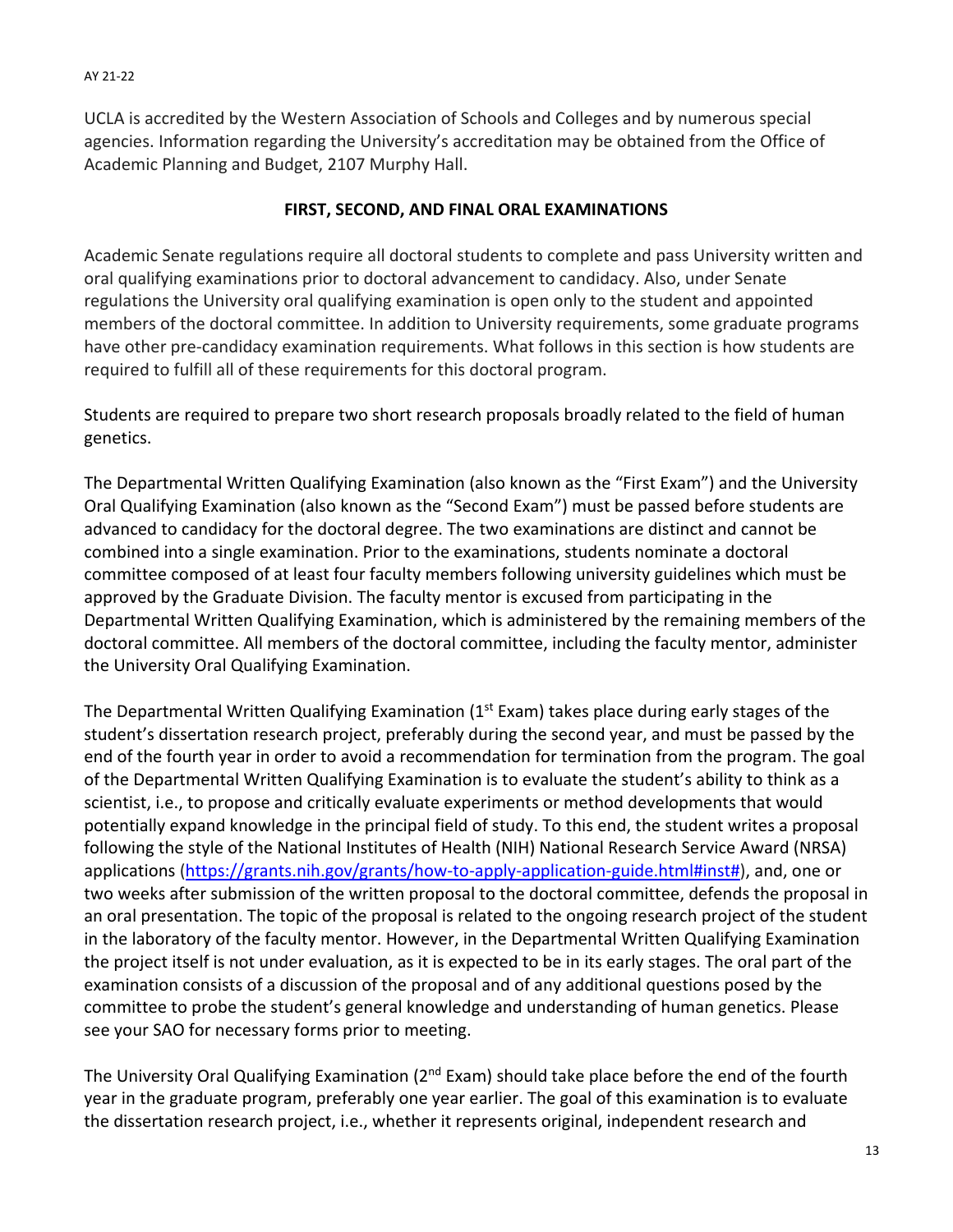UCLA is accredited by the Western Association of Schools and Colleges and by numerous special agencies. Information regarding the University's accreditation may be obtained from the Office of Academic Planning and Budget, 2107 Murphy Hall.

## **FIRST, SECOND, AND FINAL ORAL EXAMINATIONS**

Academic Senate regulations require all doctoral students to complete and pass University written and oral qualifying examinations prior to doctoral advancement to candidacy. Also, under Senate regulations the University oral qualifying examination is open only to the student and appointed members of the doctoral committee. In addition to University requirements, some graduate programs have other pre-candidacy examination requirements. What follows in this section is how students are required to fulfill all of these requirements for this doctoral program.

Students are required to prepare two short research proposals broadly related to the field of human genetics.

The Departmental Written Qualifying Examination (also known as the "First Exam") and the University Oral Qualifying Examination (also known as the "Second Exam") must be passed before students are advanced to candidacy for the doctoral degree. The two examinations are distinct and cannot be combined into a single examination. Prior to the examinations, students nominate a doctoral committee composed of at least four faculty members following university guidelines which must be approved by the Graduate Division. The faculty mentor is excused from participating in the Departmental Written Qualifying Examination, which is administered by the remaining members of the doctoral committee. All members of the doctoral committee, including the faculty mentor, administer the University Oral Qualifying Examination.

The Departmental Written Qualifying Examination ( $1<sup>st</sup>$  Exam) takes place during early stages of the student's dissertation research project, preferably during the second year, and must be passed by the end of the fourth year in order to avoid a recommendation for termination from the program. The goal of the Departmental Written Qualifying Examination is to evaluate the student's ability to think as a scientist, i.e., to propose and critically evaluate experiments or method developments that would potentially expand knowledge in the principal field of study. To this end, the student writes a proposal following the style of the National Institutes of Health (NIH) National Research Service Award (NRSA) applications (https://grants.nih.gov/grants/how-to-apply-application-guide.html#inst#), and, one or two weeks after submission of the written proposal to the doctoral committee, defends the proposal in an oral presentation. The topic of the proposal is related to the ongoing research project of the student in the laboratory of the faculty mentor. However, in the Departmental Written Qualifying Examination the project itself is not under evaluation, as it is expected to be in its early stages. The oral part of the examination consists of a discussion of the proposal and of any additional questions posed by the committee to probe the student's general knowledge and understanding of human genetics. Please see your SAO for necessary forms prior to meeting.

The University Oral Qualifying Examination (2<sup>nd</sup> Exam) should take place before the end of the fourth year in the graduate program, preferably one year earlier. The goal of this examination is to evaluate the dissertation research project, i.e., whether it represents original, independent research and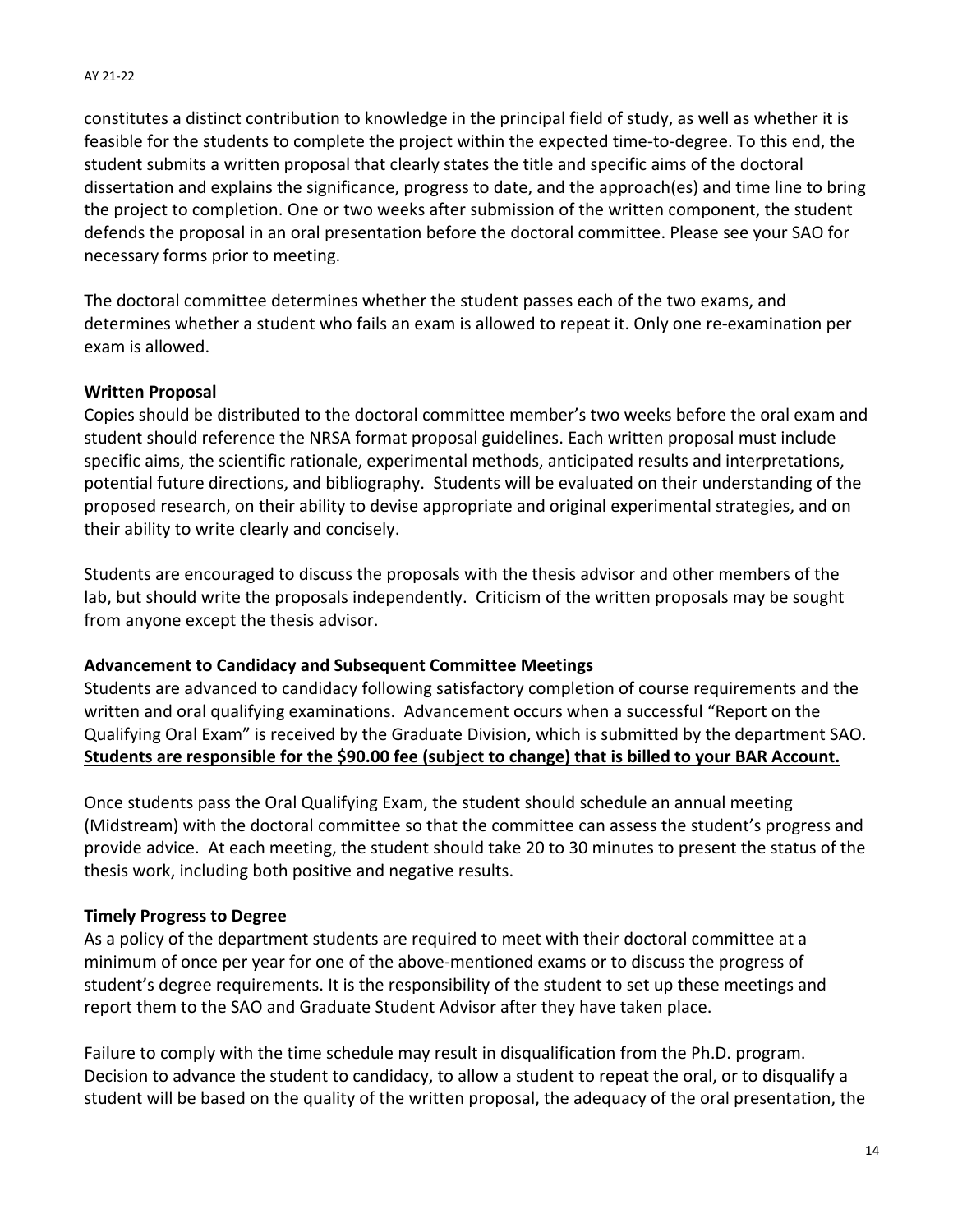constitutes a distinct contribution to knowledge in the principal field of study, as well as whether it is feasible for the students to complete the project within the expected time‐to‐degree. To this end, the student submits a written proposal that clearly states the title and specific aims of the doctoral dissertation and explains the significance, progress to date, and the approach(es) and time line to bring the project to completion. One or two weeks after submission of the written component, the student defends the proposal in an oral presentation before the doctoral committee. Please see your SAO for necessary forms prior to meeting.

The doctoral committee determines whether the student passes each of the two exams, and determines whether a student who fails an exam is allowed to repeat it. Only one re‐examination per exam is allowed.

### **Written Proposal**

Copies should be distributed to the doctoral committee member's two weeks before the oral exam and student should reference the NRSA format proposal guidelines. Each written proposal must include specific aims, the scientific rationale, experimental methods, anticipated results and interpretations, potential future directions, and bibliography. Students will be evaluated on their understanding of the proposed research, on their ability to devise appropriate and original experimental strategies, and on their ability to write clearly and concisely.

Students are encouraged to discuss the proposals with the thesis advisor and other members of the lab, but should write the proposals independently. Criticism of the written proposals may be sought from anyone except the thesis advisor.

### **Advancement to Candidacy and Subsequent Committee Meetings**

Students are advanced to candidacy following satisfactory completion of course requirements and the written and oral qualifying examinations. Advancement occurs when a successful "Report on the Qualifying Oral Exam" is received by the Graduate Division, which is submitted by the department SAO. **Students are responsible for the \$90.00 fee (subject to change) that is billed to your BAR Account.**

Once students pass the Oral Qualifying Exam, the student should schedule an annual meeting (Midstream) with the doctoral committee so that the committee can assess the student's progress and provide advice. At each meeting, the student should take 20 to 30 minutes to present the status of the thesis work, including both positive and negative results.

### **Timely Progress to Degree**

As a policy of the department students are required to meet with their doctoral committee at a minimum of once per year for one of the above‐mentioned exams or to discuss the progress of student's degree requirements. It is the responsibility of the student to set up these meetings and report them to the SAO and Graduate Student Advisor after they have taken place.

Failure to comply with the time schedule may result in disqualification from the Ph.D. program. Decision to advance the student to candidacy, to allow a student to repeat the oral, or to disqualify a student will be based on the quality of the written proposal, the adequacy of the oral presentation, the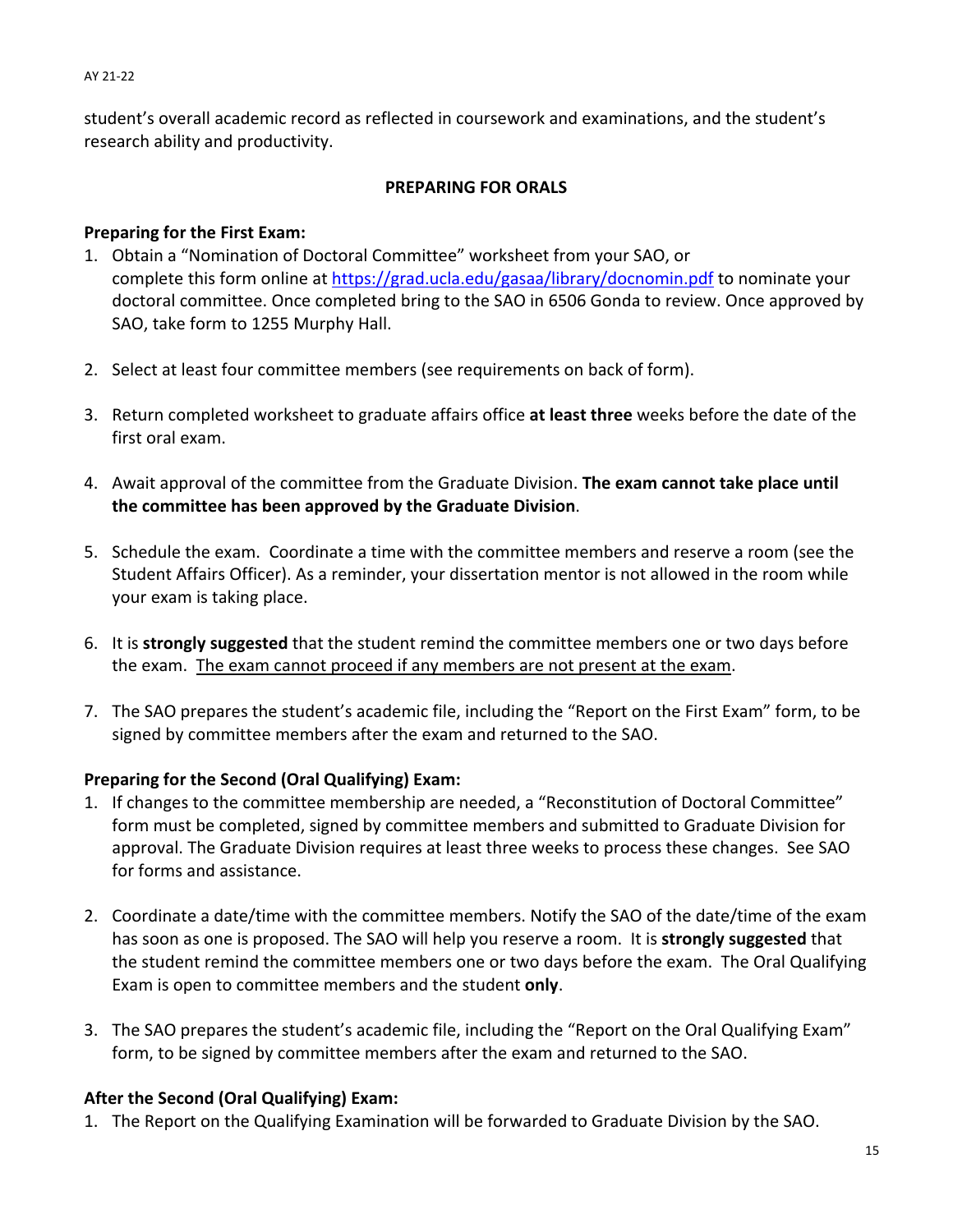student's overall academic record as reflected in coursework and examinations, and the student's research ability and productivity.

## **PREPARING FOR ORALS**

### **Preparing for the First Exam:**

- 1. Obtain a "Nomination of Doctoral Committee" worksheet from your SAO, or complete this form online at https://grad.ucla.edu/gasaa/library/docnomin.pdf to nominate your doctoral committee. Once completed bring to the SAO in 6506 Gonda to review. Once approved by SAO, take form to 1255 Murphy Hall.
- 2. Select at least four committee members (see requirements on back of form).
- 3. Return completed worksheet to graduate affairs office **at least three** weeks before the date of the first oral exam.
- 4. Await approval of the committee from the Graduate Division. **The exam cannot take place until the committee has been approved by the Graduate Division**.
- 5. Schedule the exam. Coordinate a time with the committee members and reserve a room (see the Student Affairs Officer). As a reminder, your dissertation mentor is not allowed in the room while your exam is taking place.
- 6. It is **strongly suggested** that the student remind the committee members one or two days before the exam. The exam cannot proceed if any members are not present at the exam.
- 7. The SAO prepares the student's academic file, including the "Report on the First Exam" form, to be signed by committee members after the exam and returned to the SAO.

# **Preparing for the Second (Oral Qualifying) Exam:**

- 1. If changes to the committee membership are needed, a "Reconstitution of Doctoral Committee" form must be completed, signed by committee members and submitted to Graduate Division for approval. The Graduate Division requires at least three weeks to process these changes. See SAO for forms and assistance.
- 2. Coordinate a date/time with the committee members. Notify the SAO of the date/time of the exam has soon as one is proposed. The SAO will help you reserve a room. It is **strongly suggested** that the student remind the committee members one or two days before the exam. The Oral Qualifying Exam is open to committee members and the student **only**.
- 3. The SAO prepares the student's academic file, including the "Report on the Oral Qualifying Exam" form, to be signed by committee members after the exam and returned to the SAO.

# **After the Second (Oral Qualifying) Exam:**

1. The Report on the Qualifying Examination will be forwarded to Graduate Division by the SAO.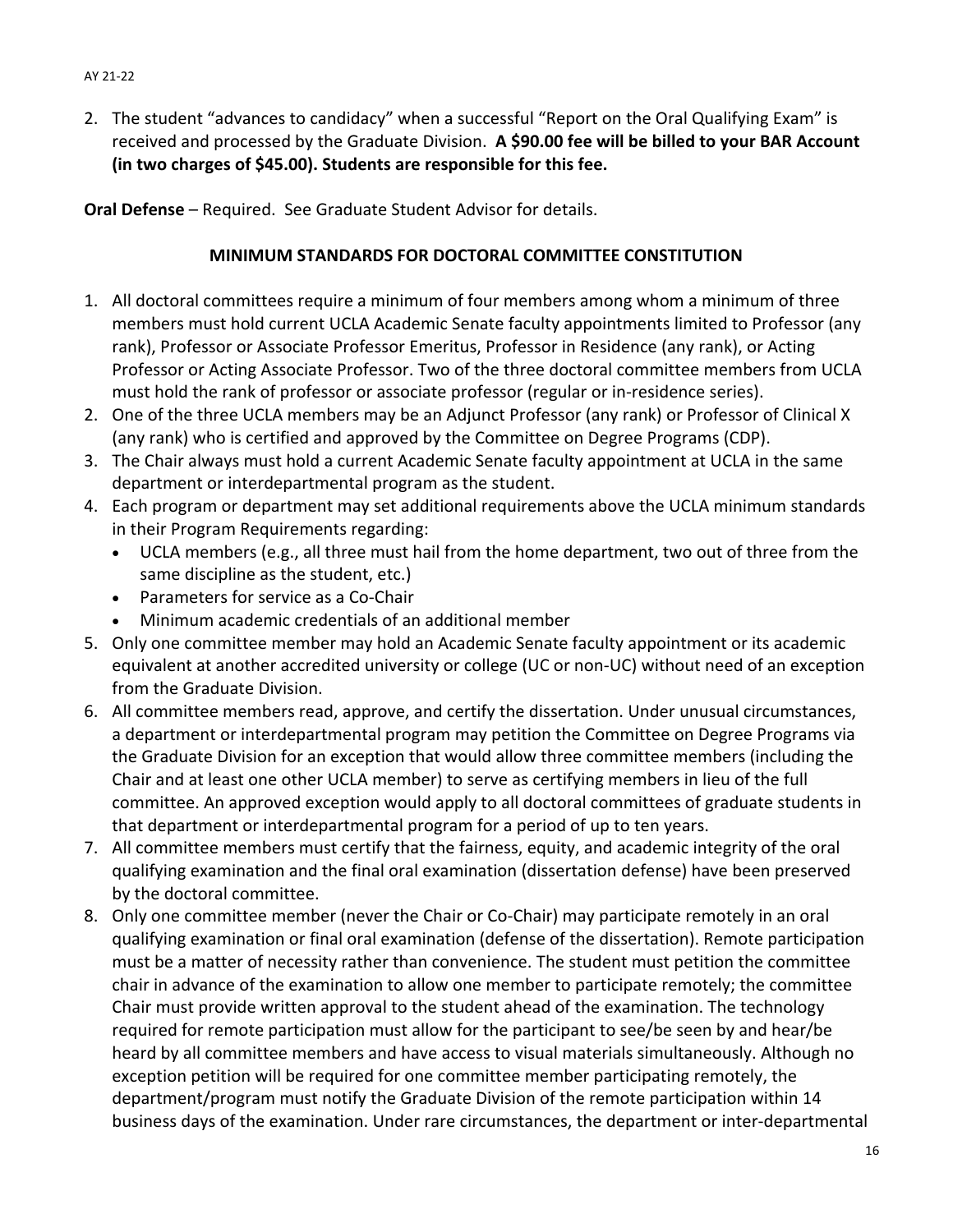2. The student "advances to candidacy" when a successful "Report on the Oral Qualifying Exam" is received and processed by the Graduate Division. **A \$90.00 fee will be billed to your BAR Account (in two charges of \$45.00). Students are responsible for this fee.**

**Oral Defense** – Required. See Graduate Student Advisor for details.

# **MINIMUM STANDARDS FOR DOCTORAL COMMITTEE CONSTITUTION**

- 1. All doctoral committees require a minimum of four members among whom a minimum of three members must hold current UCLA Academic Senate faculty appointments limited to Professor (any rank), Professor or Associate Professor Emeritus, Professor in Residence (any rank), or Acting Professor or Acting Associate Professor. Two of the three doctoral committee members from UCLA must hold the rank of professor or associate professor (regular or in‐residence series).
- 2. One of the three UCLA members may be an Adjunct Professor (any rank) or Professor of Clinical X (any rank) who is certified and approved by the Committee on Degree Programs (CDP).
- 3. The Chair always must hold a current Academic Senate faculty appointment at UCLA in the same department or interdepartmental program as the student.
- 4. Each program or department may set additional requirements above the UCLA minimum standards in their Program Requirements regarding:
	- UCLA members (e.g., all three must hail from the home department, two out of three from the same discipline as the student, etc.)
	- Parameters for service as a Co-Chair
	- Minimum academic credentials of an additional member
- 5. Only one committee member may hold an Academic Senate faculty appointment or its academic equivalent at another accredited university or college (UC or non‐UC) without need of an exception from the Graduate Division.
- 6. All committee members read, approve, and certify the dissertation. Under unusual circumstances, a department or interdepartmental program may petition the Committee on Degree Programs via the Graduate Division for an exception that would allow three committee members (including the Chair and at least one other UCLA member) to serve as certifying members in lieu of the full committee. An approved exception would apply to all doctoral committees of graduate students in that department or interdepartmental program for a period of up to ten years.
- 7. All committee members must certify that the fairness, equity, and academic integrity of the oral qualifying examination and the final oral examination (dissertation defense) have been preserved by the doctoral committee.
- 8. Only one committee member (never the Chair or Co-Chair) may participate remotely in an oral qualifying examination or final oral examination (defense of the dissertation). Remote participation must be a matter of necessity rather than convenience. The student must petition the committee chair in advance of the examination to allow one member to participate remotely; the committee Chair must provide written approval to the student ahead of the examination. The technology required for remote participation must allow for the participant to see/be seen by and hear/be heard by all committee members and have access to visual materials simultaneously. Although no exception petition will be required for one committee member participating remotely, the department/program must notify the Graduate Division of the remote participation within 14 business days of the examination. Under rare circumstances, the department or inter‐departmental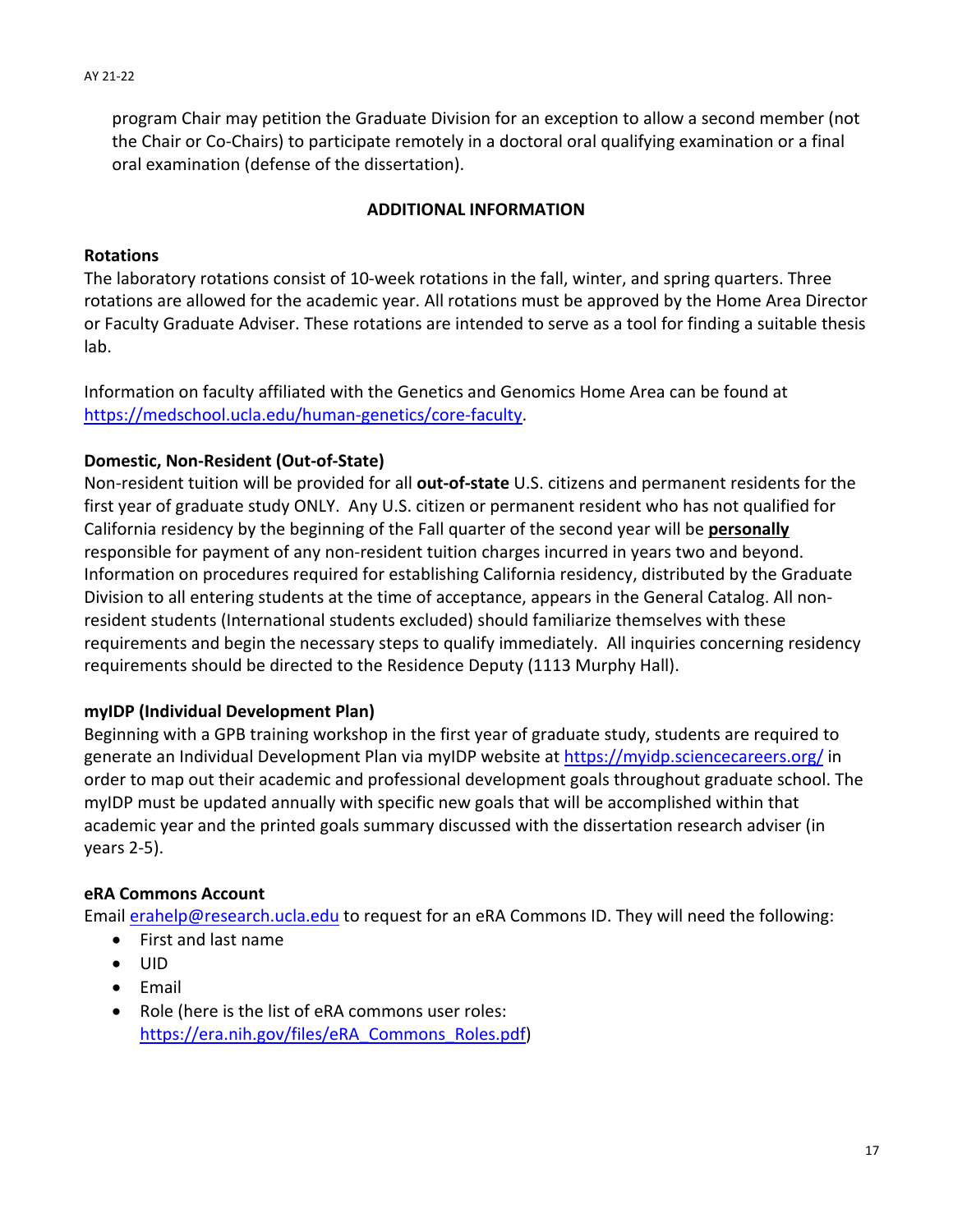program Chair may petition the Graduate Division for an exception to allow a second member (not the Chair or Co‐Chairs) to participate remotely in a doctoral oral qualifying examination or a final oral examination (defense of the dissertation).

## **ADDITIONAL INFORMATION**

### **Rotations**

The laboratory rotations consist of 10‐week rotations in the fall, winter, and spring quarters. Three rotations are allowed for the academic year. All rotations must be approved by the Home Area Director or Faculty Graduate Adviser. These rotations are intended to serve as a tool for finding a suitable thesis lab.

Information on faculty affiliated with the Genetics and Genomics Home Area can be found at https://medschool.ucla.edu/human‐genetics/core‐faculty.

### **Domestic, Non‐Resident (Out‐of‐State)**

Non‐resident tuition will be provided for all **out‐of‐state** U.S. citizens and permanent residents for the first year of graduate study ONLY. Any U.S. citizen or permanent resident who has not qualified for California residency by the beginning of the Fall quarter of the second year will be **personally** responsible for payment of any non-resident tuition charges incurred in years two and beyond. Information on procedures required for establishing California residency, distributed by the Graduate Division to all entering students at the time of acceptance, appears in the General Catalog. All non‐ resident students (International students excluded) should familiarize themselves with these requirements and begin the necessary steps to qualify immediately. All inquiries concerning residency requirements should be directed to the Residence Deputy (1113 Murphy Hall).

### **myIDP (Individual Development Plan)**

Beginning with a GPB training workshop in the first year of graduate study, students are required to generate an Individual Development Plan via myIDP website at https://myidp.sciencecareers.org/ in order to map out their academic and professional development goals throughout graduate school. The myIDP must be updated annually with specific new goals that will be accomplished within that academic year and the printed goals summary discussed with the dissertation research adviser (in years 2‐5).

# **eRA Commons Account**

Email **erahelp@research.ucla.edu** to request for an eRA Commons ID. They will need the following:

- First and last name
- $\bullet$  UID
- Email
- Role (here is the list of eRA commons user roles: https://era.nih.gov/files/eRA\_Commons\_Roles.pdf)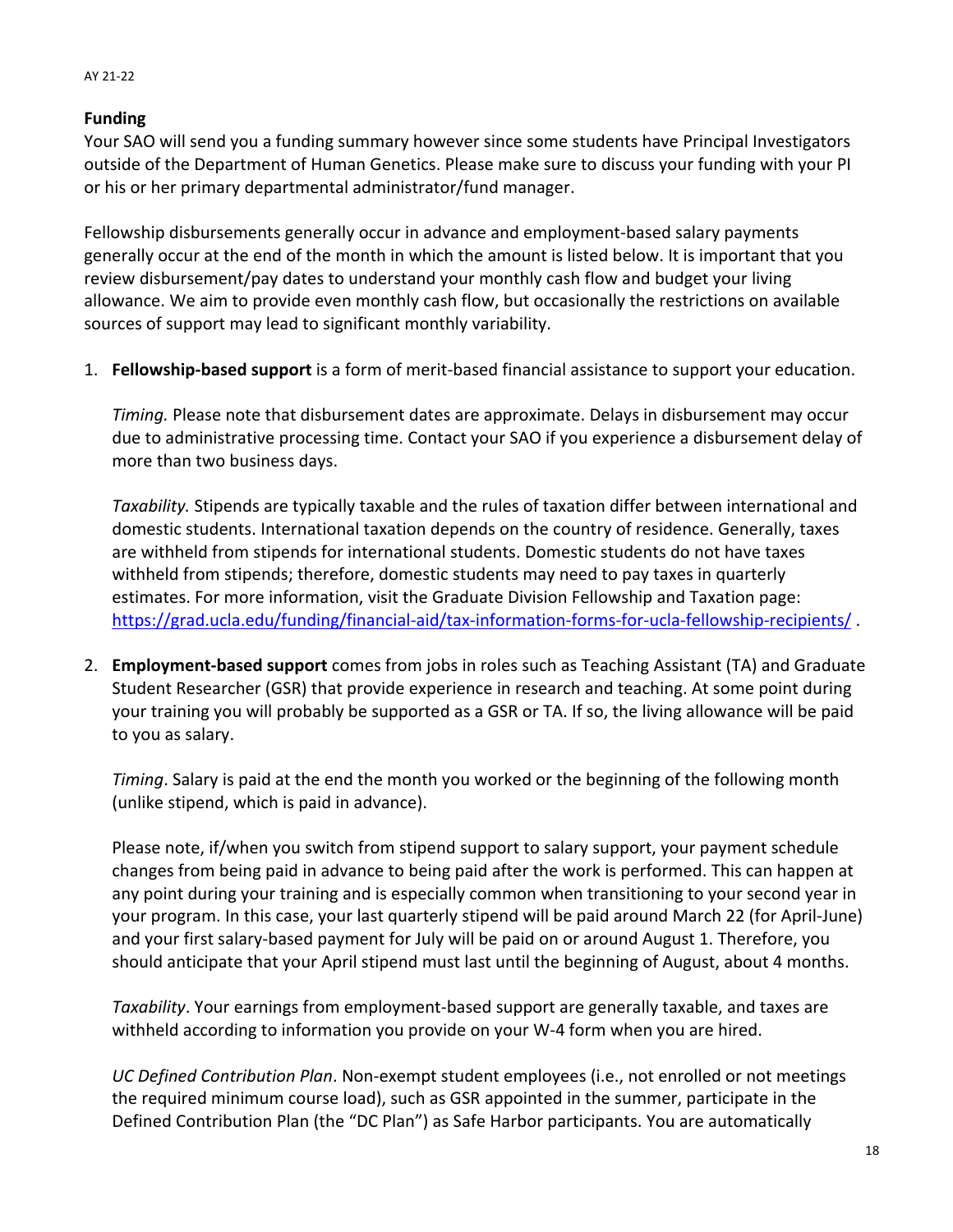# **Funding**

AY 21‐22

Your SAO will send you a funding summary however since some students have Principal Investigators outside of the Department of Human Genetics. Please make sure to discuss your funding with your PI or his or her primary departmental administrator/fund manager.

Fellowship disbursements generally occur in advance and employment‐based salary payments generally occur at the end of the month in which the amount is listed below. It is important that you review disbursement/pay dates to understand your monthly cash flow and budget your living allowance. We aim to provide even monthly cash flow, but occasionally the restrictions on available sources of support may lead to significant monthly variability.

1. **Fellowship‐based support** is a form of merit‐based financial assistance to support your education.

*Timing.* Please note that disbursement dates are approximate. Delays in disbursement may occur due to administrative processing time. Contact your SAO if you experience a disbursement delay of more than two business days.

*Taxability.* Stipends are typically taxable and the rules of taxation differ between international and domestic students. International taxation depends on the country of residence. Generally, taxes are withheld from stipends for international students. Domestic students do not have taxes withheld from stipends; therefore, domestic students may need to pay taxes in quarterly estimates. For more information, visit the Graduate Division Fellowship and Taxation page: https://grad.ucla.edu/funding/financial‐aid/tax‐information‐forms‐for‐ucla‐fellowship‐recipients/ .

2. **Employment‐based support** comes from jobs in roles such as Teaching Assistant (TA) and Graduate Student Researcher (GSR) that provide experience in research and teaching. At some point during your training you will probably be supported as a GSR or TA. If so, the living allowance will be paid to you as salary.

*Timing*. Salary is paid at the end the month you worked or the beginning of the following month (unlike stipend, which is paid in advance).

Please note, if/when you switch from stipend support to salary support, your payment schedule changes from being paid in advance to being paid after the work is performed. This can happen at any point during your training and is especially common when transitioning to your second year in your program. In this case, your last quarterly stipend will be paid around March 22 (for April‐June) and your first salary‐based payment for July will be paid on or around August 1. Therefore, you should anticipate that your April stipend must last until the beginning of August, about 4 months.

*Taxability*. Your earnings from employment‐based support are generally taxable, and taxes are withheld according to information you provide on your W‐4 form when you are hired.

*UC Defined Contribution Plan*. Non‐exempt student employees (i.e., not enrolled or not meetings the required minimum course load), such as GSR appointed in the summer, participate in the Defined Contribution Plan (the "DC Plan") as Safe Harbor participants. You are automatically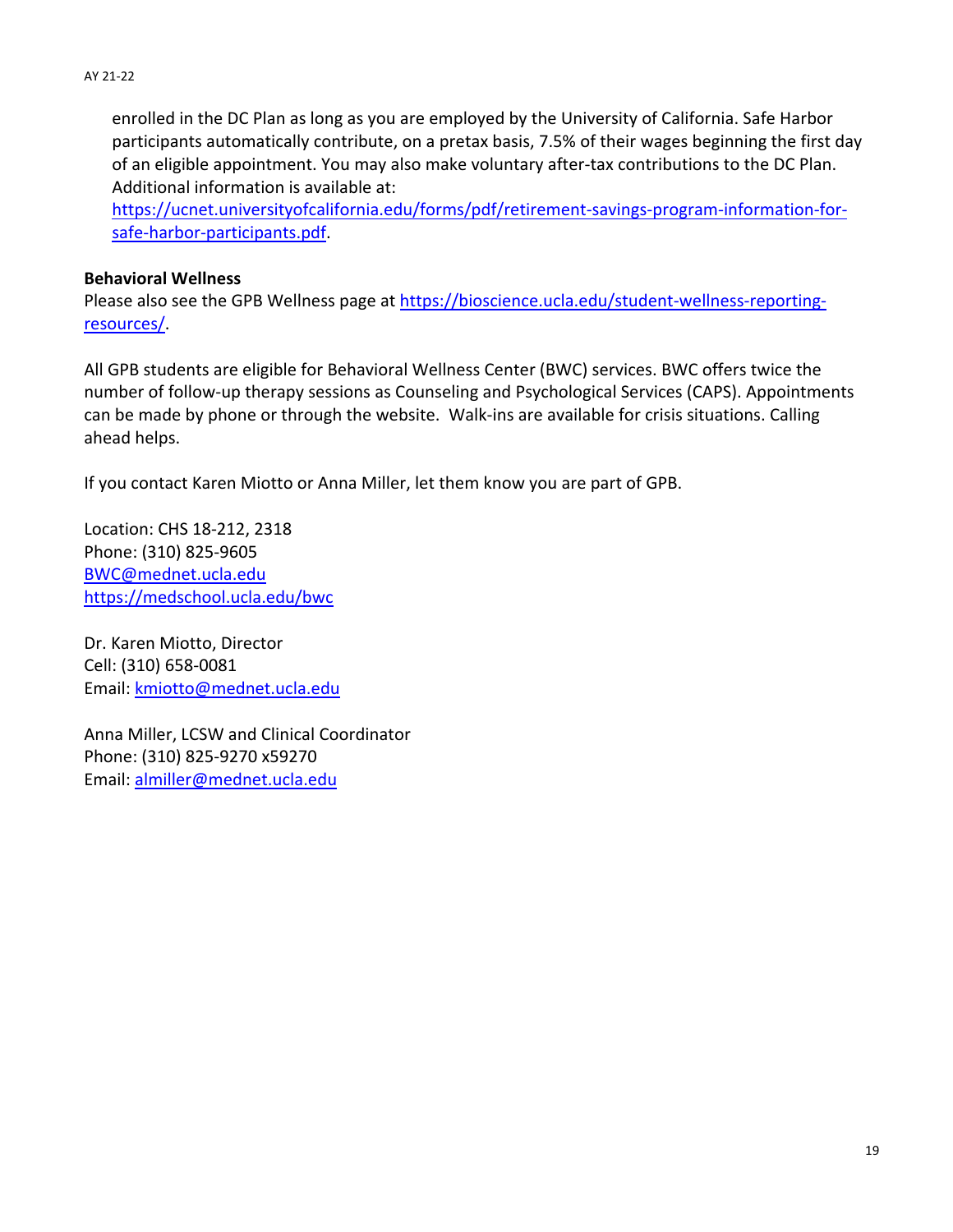enrolled in the DC Plan as long as you are employed by the University of California. Safe Harbor participants automatically contribute, on a pretax basis, 7.5% of their wages beginning the first day of an eligible appointment. You may also make voluntary after‐tax contributions to the DC Plan. Additional information is available at:

https://ucnet.universityofcalifornia.edu/forms/pdf/retirement-savings-program-information-forsafe‐harbor‐participants.pdf.

### **Behavioral Wellness**

Please also see the GPB Wellness page at https://bioscience.ucla.edu/student‐wellness‐reporting‐ resources/.

All GPB students are eligible for Behavioral Wellness Center (BWC) services. BWC offers twice the number of follow‐up therapy sessions as Counseling and Psychological Services (CAPS). Appointments can be made by phone or through the website. Walk‐ins are available for crisis situations. Calling ahead helps.

If you contact Karen Miotto or Anna Miller, let them know you are part of GPB.

Location: CHS 18‐212, 2318 Phone: (310) 825‐9605 BWC@mednet.ucla.edu https://medschool.ucla.edu/bwc

Dr. Karen Miotto, Director Cell: (310) 658‐0081 Email: kmiotto@mednet.ucla.edu

Anna Miller, LCSW and Clinical Coordinator Phone: (310) 825‐9270 x59270 Email: almiller@mednet.ucla.edu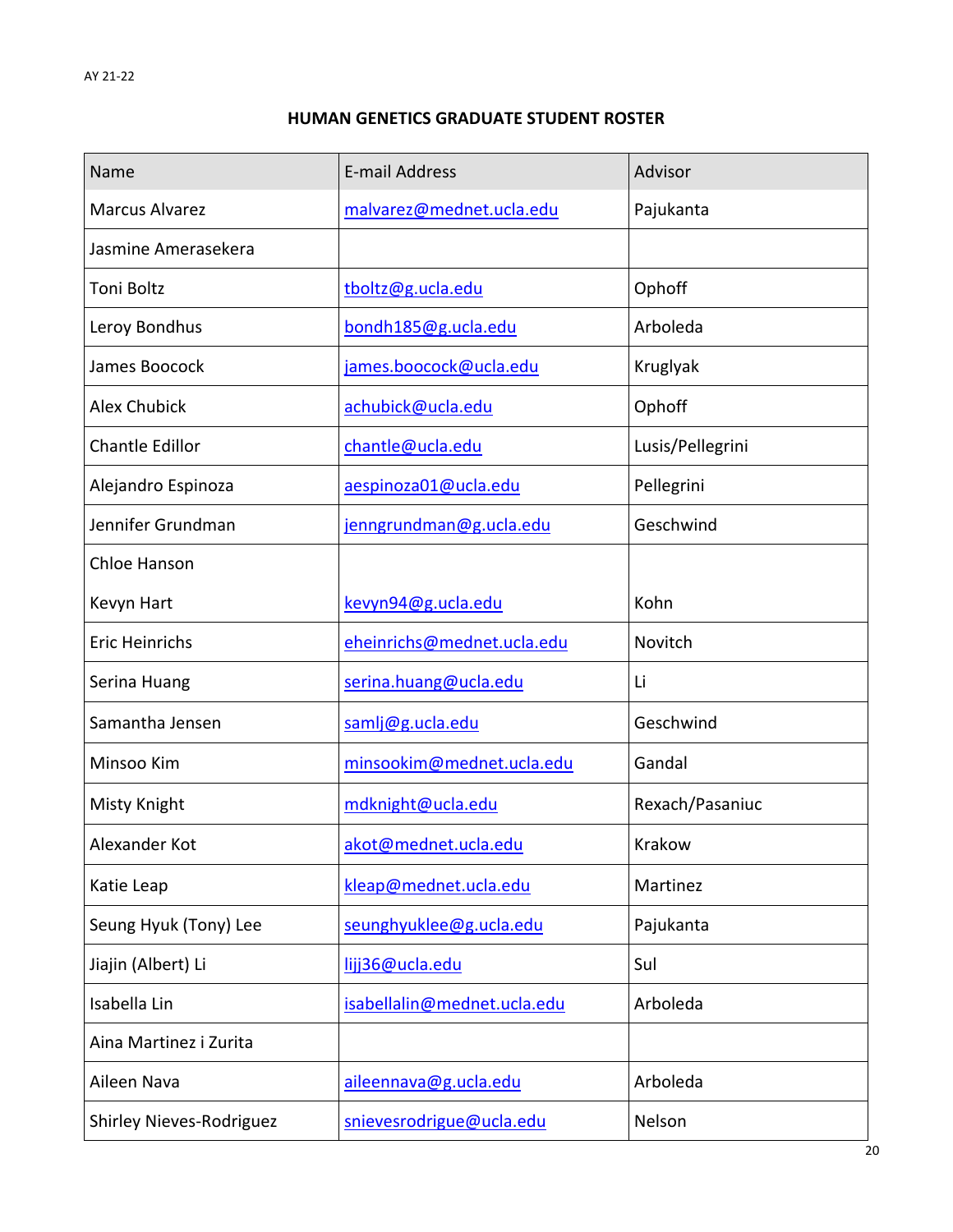# **HUMAN GENETICS GRADUATE STUDENT ROSTER**

| Name                     | E-mail Address              | Advisor          |
|--------------------------|-----------------------------|------------------|
| <b>Marcus Alvarez</b>    | malvarez@mednet.ucla.edu    | Pajukanta        |
| Jasmine Amerasekera      |                             |                  |
| <b>Toni Boltz</b>        | tboltz@g.ucla.edu           | Ophoff           |
| Leroy Bondhus            | bondh185@g.ucla.edu         | Arboleda         |
| James Boocock            | james.boocock@ucla.edu      | Kruglyak         |
| <b>Alex Chubick</b>      | achubick@ucla.edu           | Ophoff           |
| <b>Chantle Edillor</b>   | chantle@ucla.edu            | Lusis/Pellegrini |
| Alejandro Espinoza       | aespinoza01@ucla.edu        | Pellegrini       |
| Jennifer Grundman        | jenngrundman@g.ucla.edu     | Geschwind        |
| Chloe Hanson             |                             |                  |
| Kevyn Hart               | kevyn94@g.ucla.edu          | Kohn             |
| <b>Eric Heinrichs</b>    | eheinrichs@mednet.ucla.edu  | Novitch          |
| Serina Huang             | serina.huang@ucla.edu       | Li               |
| Samantha Jensen          | samlj@g.ucla.edu            | Geschwind        |
| Minsoo Kim               | minsookim@mednet.ucla.edu   | Gandal           |
| Misty Knight             | mdknight@ucla.edu           | Rexach/Pasaniuc  |
| Alexander Kot            | akot@mednet.ucla.edu        | Krakow           |
| Katie Leap               | kleap@mednet.ucla.edu       | Martinez         |
| Seung Hyuk (Tony) Lee    | seunghyuklee@g.ucla.edu     | Pajukanta        |
| Jiajin (Albert) Li       | lijj36@ucla.edu             | Sul              |
| Isabella Lin             | isabellalin@mednet.ucla.edu | Arboleda         |
| Aina Martinez i Zurita   |                             |                  |
| Aileen Nava              | aileennava@g.ucla.edu       | Arboleda         |
| Shirley Nieves-Rodriguez | snievesrodrigue@ucla.edu    | Nelson           |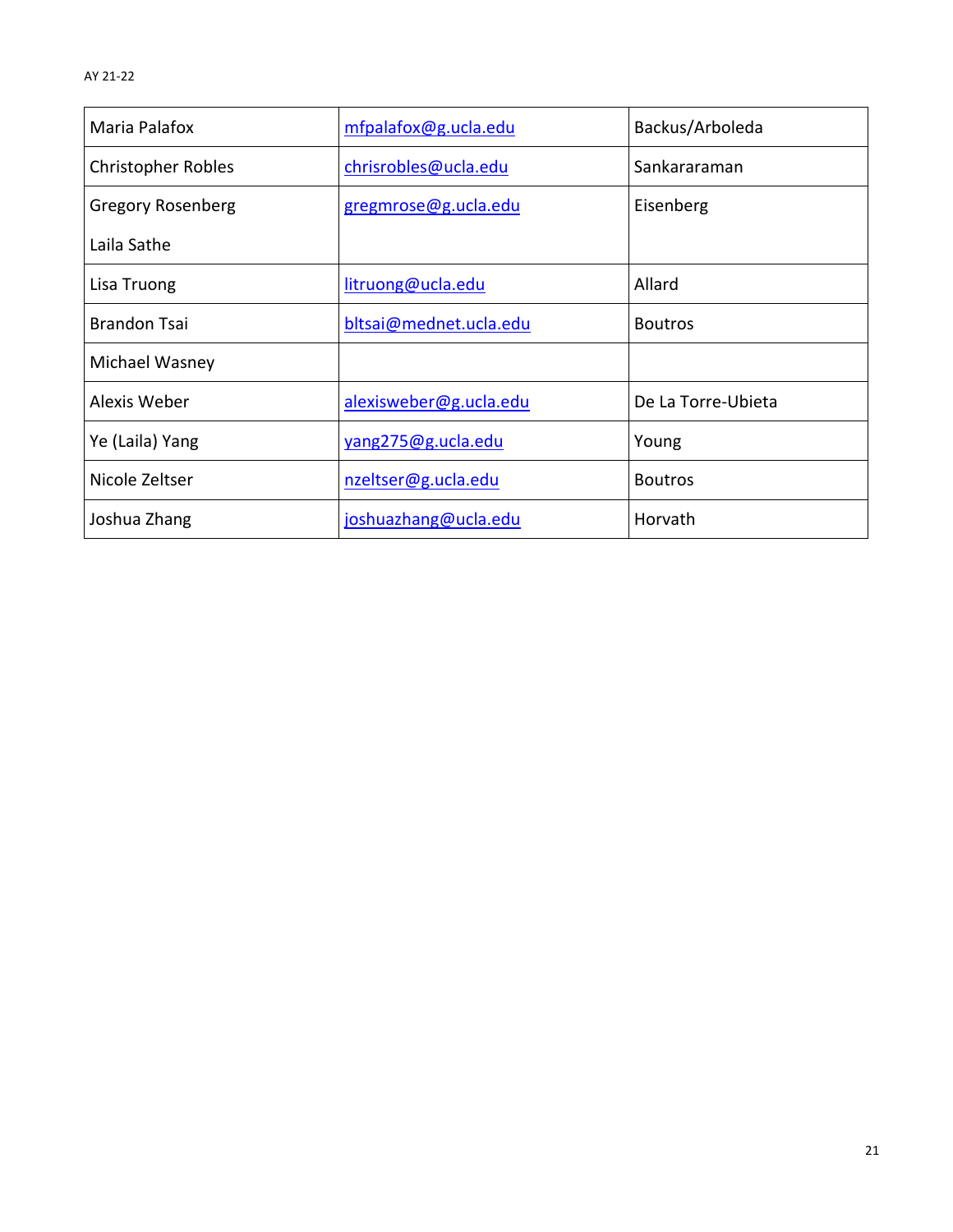| Maria Palafox             | mfpalafox@g.ucla.edu   | Backus/Arboleda    |  |
|---------------------------|------------------------|--------------------|--|
| <b>Christopher Robles</b> | chrisrobles@ucla.edu   | Sankararaman       |  |
| <b>Gregory Rosenberg</b>  | gregmrose@g.ucla.edu   | Eisenberg          |  |
| Laila Sathe               |                        |                    |  |
| Lisa Truong               | litruong@ucla.edu      | Allard             |  |
| <b>Brandon Tsai</b>       | bltsai@mednet.ucla.edu | <b>Boutros</b>     |  |
| Michael Wasney            |                        |                    |  |
| Alexis Weber              | alexisweber@g.ucla.edu | De La Torre-Ubieta |  |
| Ye (Laila) Yang           | yang275@g.ucla.edu     | Young              |  |
| Nicole Zeltser            | nzeltser@g.ucla.edu    | <b>Boutros</b>     |  |
| Joshua Zhang              | joshuazhang@ucla.edu   | Horvath            |  |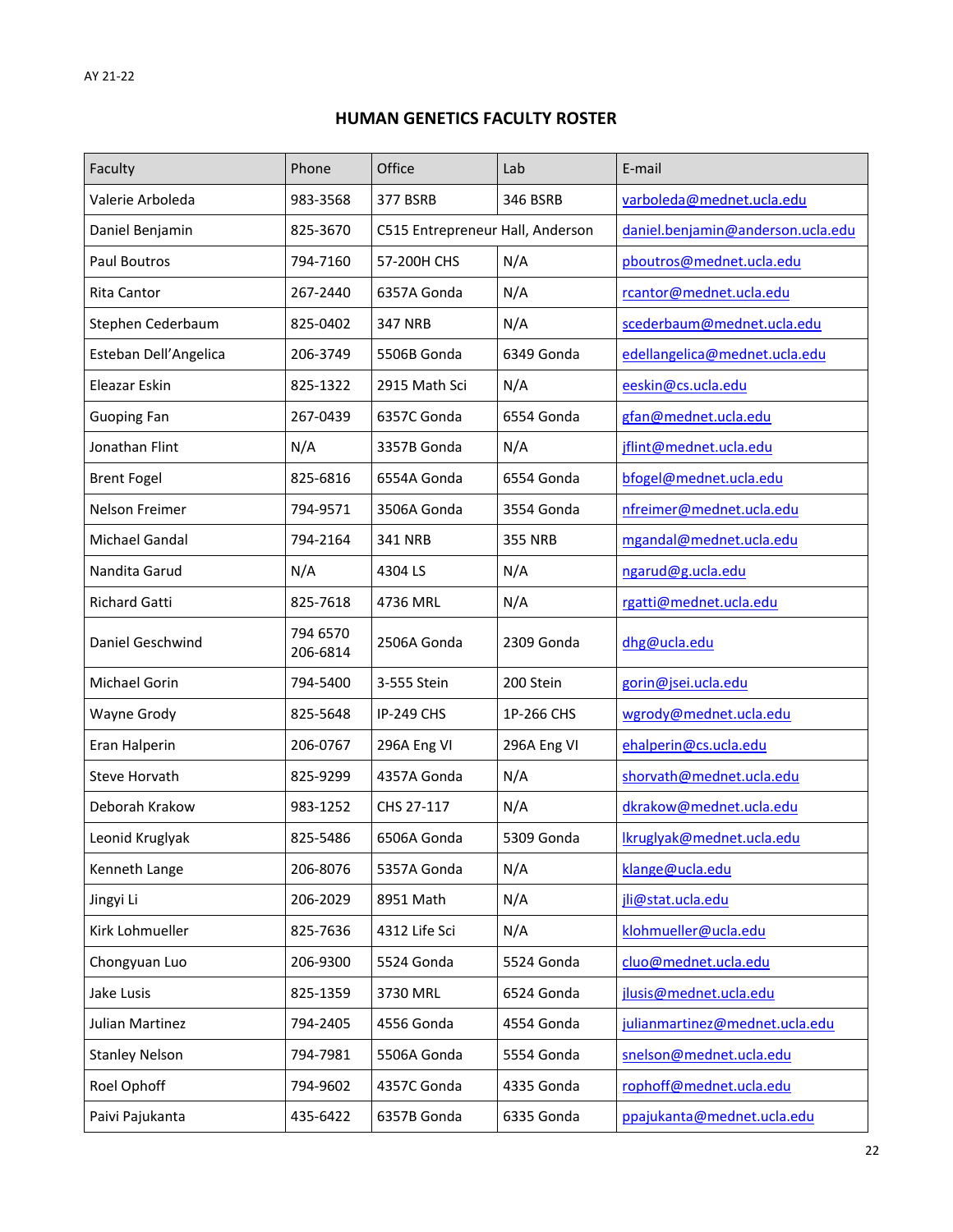# **HUMAN GENETICS FACULTY ROSTER**

| Faculty               | Phone                | Office                           | Lab            | E-mail                            |
|-----------------------|----------------------|----------------------------------|----------------|-----------------------------------|
| Valerie Arboleda      | 983-3568             | <b>377 BSRB</b>                  | 346 BSRB       | varboleda@mednet.ucla.edu         |
| Daniel Benjamin       | 825-3670             | C515 Entrepreneur Hall, Anderson |                | daniel.benjamin@anderson.ucla.edu |
| Paul Boutros          | 794-7160             | 57-200H CHS                      | N/A            | pboutros@mednet.ucla.edu          |
| <b>Rita Cantor</b>    | 267-2440             | 6357A Gonda                      | N/A            | rcantor@mednet.ucla.edu           |
| Stephen Cederbaum     | 825-0402             | <b>347 NRB</b>                   | N/A            | scederbaum@mednet.ucla.edu        |
| Esteban Dell'Angelica | 206-3749             | 5506B Gonda                      | 6349 Gonda     | edellangelica@mednet.ucla.edu     |
| Eleazar Eskin         | 825-1322             | 2915 Math Sci                    | N/A            | eeskin@cs.ucla.edu                |
| <b>Guoping Fan</b>    | 267-0439             | 6357C Gonda                      | 6554 Gonda     | gfan@mednet.ucla.edu              |
| Jonathan Flint        | N/A                  | 3357B Gonda                      | N/A            | jflint@mednet.ucla.edu            |
| <b>Brent Fogel</b>    | 825-6816             | 6554A Gonda                      | 6554 Gonda     | bfogel@mednet.ucla.edu            |
| Nelson Freimer        | 794-9571             | 3506A Gonda                      | 3554 Gonda     | nfreimer@mednet.ucla.edu          |
| Michael Gandal        | 794-2164             | <b>341 NRB</b>                   | <b>355 NRB</b> | mgandal@mednet.ucla.edu           |
| Nandita Garud         | N/A                  | 4304 LS                          | N/A            | ngarud@g.ucla.edu                 |
| <b>Richard Gatti</b>  | 825-7618             | 4736 MRL                         | N/A            | rgatti@mednet.ucla.edu            |
| Daniel Geschwind      | 794 6570<br>206-6814 | 2506A Gonda                      | 2309 Gonda     | dhg@ucla.edu                      |
| Michael Gorin         | 794-5400             | 3-555 Stein                      | 200 Stein      | gorin@jsei.ucla.edu               |
| Wayne Grody           | 825-5648             | <b>IP-249 CHS</b>                | 1P-266 CHS     | wgrody@mednet.ucla.edu            |
| Eran Halperin         | 206-0767             | 296A Eng VI                      | 296A Eng VI    | ehalperin@cs.ucla.edu             |
| Steve Horvath         | 825-9299             | 4357A Gonda                      | N/A            | shorvath@mednet.ucla.edu          |
| Deborah Krakow        | 983-1252             | CHS 27-117                       | N/A            | dkrakow@mednet.ucla.edu           |
| Leonid Kruglyak       | 825-5486             | 6506A Gonda                      | 5309 Gonda     | Ikruglyak@mednet.ucla.edu         |
| Kenneth Lange         | 206-8076             | 5357A Gonda                      | N/A            | klange@ucla.edu                   |
| Jingyi Li             | 206-2029             | 8951 Math                        | N/A            | jli@stat.ucla.edu                 |
| Kirk Lohmueller       | 825-7636             | 4312 Life Sci                    | N/A            | klohmueller@ucla.edu              |
| Chongyuan Luo         | 206-9300             | 5524 Gonda                       | 5524 Gonda     | cluo@mednet.ucla.edu              |
| Jake Lusis            | 825-1359             | 3730 MRL                         | 6524 Gonda     | jlusis@mednet.ucla.edu            |
| Julian Martinez       | 794-2405             | 4556 Gonda                       | 4554 Gonda     | julianmartinez@mednet.ucla.edu    |
| <b>Stanley Nelson</b> | 794-7981             | 5506A Gonda                      | 5554 Gonda     | snelson@mednet.ucla.edu           |
| Roel Ophoff           | 794-9602             | 4357C Gonda                      | 4335 Gonda     | rophoff@mednet.ucla.edu           |
| Paivi Pajukanta       | 435-6422             | 6357B Gonda                      | 6335 Gonda     | ppajukanta@mednet.ucla.edu        |